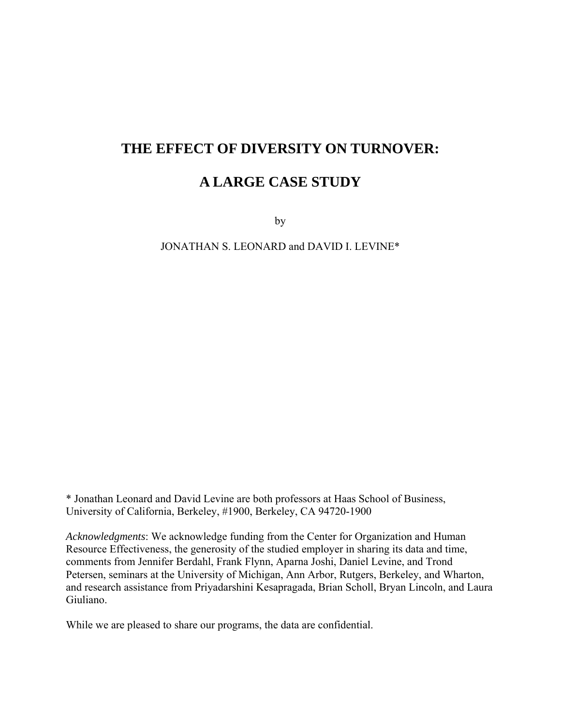## **THE EFFECT OF DIVERSITY ON TURNOVER:**

## **A LARGE CASE STUDY**

by

JONATHAN S. LEONARD and DAVID I. LEVINE\*

\* Jonathan Leonard and David Levine are both professors at Haas School of Business, University of California, Berkeley, #1900, Berkeley, CA 94720-1900

*Acknowledgments*: We acknowledge funding from the Center for Organization and Human Resource Effectiveness, the generosity of the studied employer in sharing its data and time, comments from Jennifer Berdahl, Frank Flynn, Aparna Joshi, Daniel Levine, and Trond Petersen, seminars at the University of Michigan, Ann Arbor, Rutgers, Berkeley, and Wharton, and research assistance from Priyadarshini Kesapragada, Brian Scholl, Bryan Lincoln, and Laura Giuliano.

While we are pleased to share our programs, the data are confidential.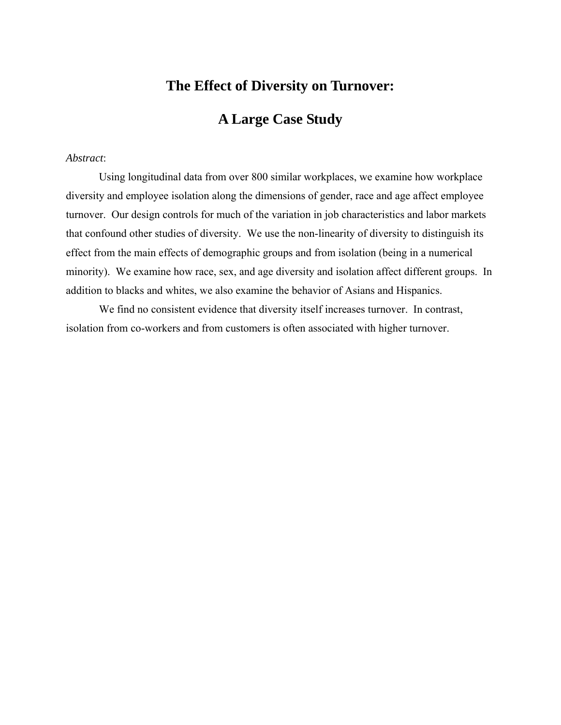## **The Effect of Diversity on Turnover:**

## **A Large Case Study**

#### *Abstract*:

 Using longitudinal data from over 800 similar workplaces, we examine how workplace diversity and employee isolation along the dimensions of gender, race and age affect employee turnover. Our design controls for much of the variation in job characteristics and labor markets that confound other studies of diversity. We use the non-linearity of diversity to distinguish its effect from the main effects of demographic groups and from isolation (being in a numerical minority). We examine how race, sex, and age diversity and isolation affect different groups. In addition to blacks and whites, we also examine the behavior of Asians and Hispanics.

 We find no consistent evidence that diversity itself increases turnover. In contrast, isolation from co-workers and from customers is often associated with higher turnover.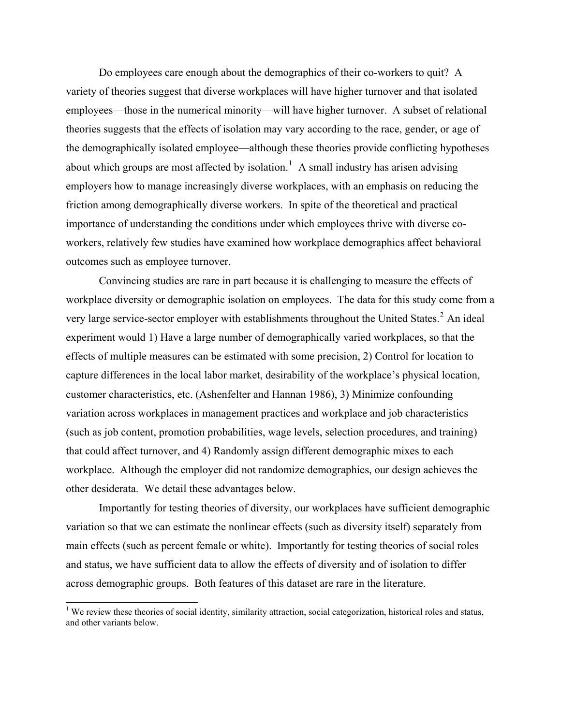Do employees care enough about the demographics of their co-workers to quit? A variety of theories suggest that diverse workplaces will have higher turnover and that isolated employees—those in the numerical minority—will have higher turnover. A subset of relational theories suggests that the effects of isolation may vary according to the race, gender, or age of the demographically isolated employee—although these theories provide conflicting hypotheses about which groups are most affected by isolation.<sup>[1](#page-2-0)</sup> A small industry has arisen advising employers how to manage increasingly diverse workplaces, with an emphasis on reducing the friction among demographically diverse workers. In spite of the theoretical and practical importance of understanding the conditions under which employees thrive with diverse coworkers, relatively few studies have examined how workplace demographics affect behavioral outcomes such as employee turnover.

Convincing studies are rare in part because it is challenging to measure the effects of workplace diversity or demographic isolation on employees. The data for this study come from a very large service-sector employer with establishments throughout the United States.<sup>[2](#page-2-1)</sup> An ideal experiment would 1) Have a large number of demographically varied workplaces, so that the effects of multiple measures can be estimated with some precision, 2) Control for location to capture differences in the local labor market, desirability of the workplace's physical location, customer characteristics, etc. (Ashenfelter and Hannan 1986), 3) Minimize confounding variation across workplaces in management practices and workplace and job characteristics (such as job content, promotion probabilities, wage levels, selection procedures, and training) that could affect turnover, and 4) Randomly assign different demographic mixes to each workplace. Although the employer did not randomize demographics, our design achieves the other desiderata. We detail these advantages below.

Importantly for testing theories of diversity, our workplaces have sufficient demographic variation so that we can estimate the nonlinear effects (such as diversity itself) separately from main effects (such as percent female or white). Importantly for testing theories of social roles and status, we have sufficient data to allow the effects of diversity and of isolation to differ across demographic groups. Both features of this dataset are rare in the literature.

 $\overline{a}$ 

<span id="page-2-1"></span><span id="page-2-0"></span><sup>&</sup>lt;sup>1</sup> We review these theories of social identity, similarity attraction, social categorization, historical roles and status, and other variants below.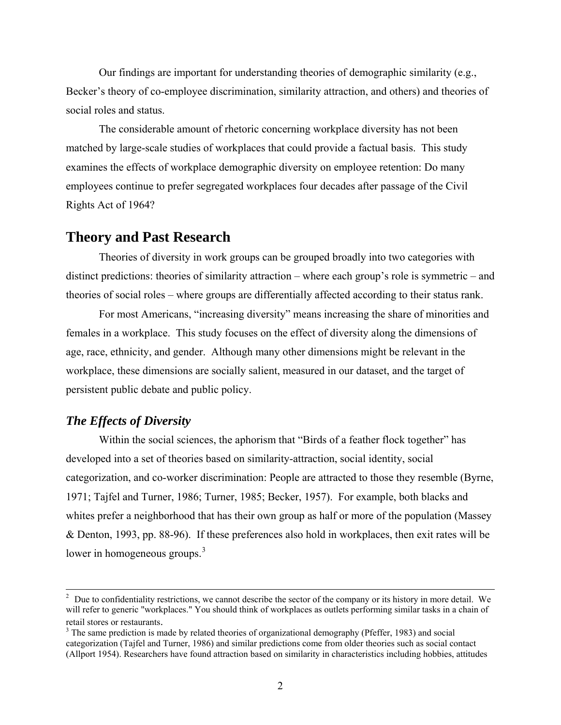Our findings are important for understanding theories of demographic similarity (e.g., Becker's theory of co-employee discrimination, similarity attraction, and others) and theories of social roles and status.

The considerable amount of rhetoric concerning workplace diversity has not been matched by large-scale studies of workplaces that could provide a factual basis. This study examines the effects of workplace demographic diversity on employee retention: Do many employees continue to prefer segregated workplaces four decades after passage of the Civil Rights Act of 1964?

### **Theory and Past Research**

Theories of diversity in work groups can be grouped broadly into two categories with distinct predictions: theories of similarity attraction – where each group's role is symmetric – and theories of social roles – where groups are differentially affected according to their status rank.

For most Americans, "increasing diversity" means increasing the share of minorities and females in a workplace. This study focuses on the effect of diversity along the dimensions of age, race, ethnicity, and gender. Although many other dimensions might be relevant in the workplace, these dimensions are socially salient, measured in our dataset, and the target of persistent public debate and public policy.

### *The Effects of Diversity*

 $\overline{a}$ 

Within the social sciences, the aphorism that "Birds of a feather flock together" has developed into a set of theories based on similarity-attraction, social identity, social categorization, and co-worker discrimination: People are attracted to those they resemble (Byrne, 1971; Tajfel and Turner, 1986; Turner, 1985; Becker, 1957). For example, both blacks and whites prefer a neighborhood that has their own group as half or more of the population (Massey & Denton, 1993, pp. 88-96). If these preferences also hold in workplaces, then exit rates will be lower in homogeneous groups.<sup>[3](#page-3-0)</sup>

 $2$  Due to confidentiality restrictions, we cannot describe the sector of the company or its history in more detail. We will refer to generic "workplaces." You should think of workplaces as outlets performing similar tasks in a chain of retail stores or restaurants. 3

<span id="page-3-0"></span><sup>&</sup>lt;sup>3</sup> The same prediction is made by related theories of organizational demography (Pfeffer, 1983) and social categorization (Tajfel and Turner, 1986) and similar predictions come from older theories such as social contact (Allport 1954). Researchers have found attraction based on similarity in characteristics including hobbies, attitudes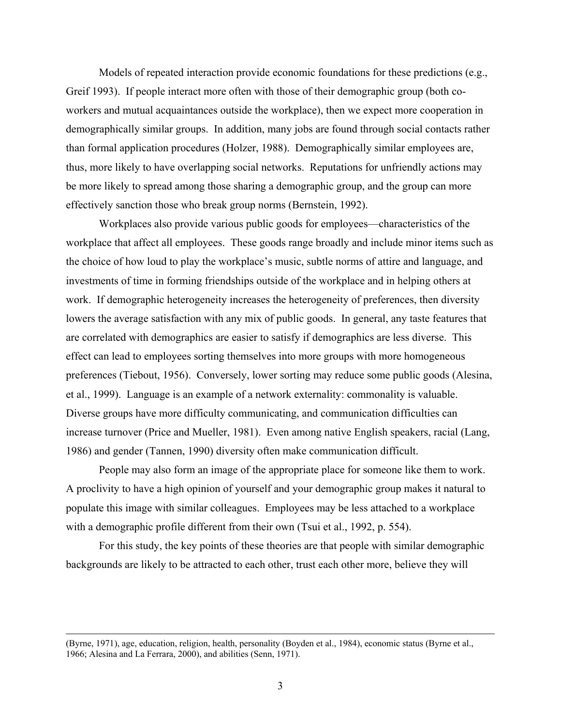Models of repeated interaction provide economic foundations for these predictions (e.g., Greif 1993). If people interact more often with those of their demographic group (both coworkers and mutual acquaintances outside the workplace), then we expect more cooperation in demographically similar groups. In addition, many jobs are found through social contacts rather than formal application procedures (Holzer, 1988). Demographically similar employees are, thus, more likely to have overlapping social networks. Reputations for unfriendly actions may be more likely to spread among those sharing a demographic group, and the group can more effectively sanction those who break group norms (Bernstein, 1992).

Workplaces also provide various public goods for employees—characteristics of the workplace that affect all employees. These goods range broadly and include minor items such as the choice of how loud to play the workplace's music, subtle norms of attire and language, and investments of time in forming friendships outside of the workplace and in helping others at work. If demographic heterogeneity increases the heterogeneity of preferences, then diversity lowers the average satisfaction with any mix of public goods. In general, any taste features that are correlated with demographics are easier to satisfy if demographics are less diverse. This effect can lead to employees sorting themselves into more groups with more homogeneous preferences (Tiebout, 1956). Conversely, lower sorting may reduce some public goods (Alesina, et al., 1999). Language is an example of a network externality: commonality is valuable. Diverse groups have more difficulty communicating, and communication difficulties can increase turnover (Price and Mueller, 1981). Even among native English speakers, racial (Lang, 1986) and gender (Tannen, 1990) diversity often make communication difficult.

People may also form an image of the appropriate place for someone like them to work. A proclivity to have a high opinion of yourself and your demographic group makes it natural to populate this image with similar colleagues. Employees may be less attached to a workplace with a demographic profile different from their own (Tsui et al., 1992, p. 554).

For this study, the key points of these theories are that people with similar demographic backgrounds are likely to be attracted to each other, trust each other more, believe they will

 $\overline{a}$ 

<sup>(</sup>Byrne, 1971), age, education, religion, health, personality (Boyden et al., 1984), economic status (Byrne et al., 1966; Alesina and La Ferrara, 2000), and abilities (Senn, 1971).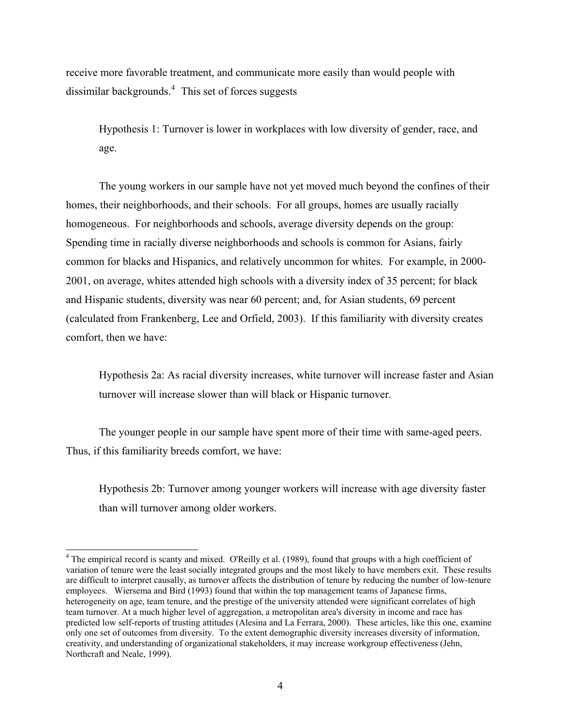receive more favorable treatment, and communicate more easily than would people with dissimilar backgrounds.<sup>[4](#page-5-0)</sup> This set of forces suggests

Hypothesis 1: Turnover is lower in workplaces with low diversity of gender, race, and age.

 The young workers in our sample have not yet moved much beyond the confines of their homes, their neighborhoods, and their schools. For all groups, homes are usually racially homogeneous. For neighborhoods and schools, average diversity depends on the group: Spending time in racially diverse neighborhoods and schools is common for Asians, fairly common for blacks and Hispanics, and relatively uncommon for whites. For example, in 2000- 2001, on average, whites attended high schools with a diversity index of 35 percent; for black and Hispanic students, diversity was near 60 percent; and, for Asian students, 69 percent (calculated from Frankenberg, Lee and Orfield, 2003). If this familiarity with diversity creates comfort, then we have:

Hypothesis 2a: As racial diversity increases, white turnover will increase faster and Asian turnover will increase slower than will black or Hispanic turnover.

 The younger people in our sample have spent more of their time with same-aged peers. Thus, if this familiarity breeds comfort, we have:

Hypothesis 2b: Turnover among younger workers will increase with age diversity faster than will turnover among older workers.

 $\overline{a}$ 

<span id="page-5-0"></span><sup>&</sup>lt;sup>4</sup> The empirical record is scanty and mixed. O'Reilly et al. (1989), found that groups with a high coefficient of variation of tenure were the least socially integrated groups and the most likely to have members exit. These results are difficult to interpret causally, as turnover affects the distribution of tenure by reducing the number of low-tenure employees. Wiersema and Bird (1993) found that within the top management teams of Japanese firms, heterogeneity on age, team tenure, and the prestige of the university attended were significant correlates of high team turnover. At a much higher level of aggregation, a metropolitan area's diversity in income and race has predicted low self-reports of trusting attitudes (Alesina and La Ferrara, 2000). These articles, like this one, examine only one set of outcomes from diversity. To the extent demographic diversity increases diversity of information, creativity, and understanding of organizational stakeholders, it may increase workgroup effectiveness (Jehn, Northcraft and Neale, 1999).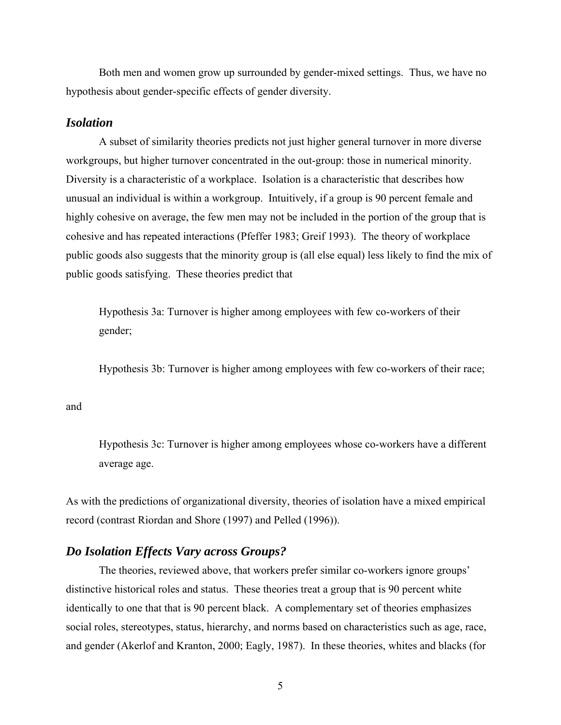Both men and women grow up surrounded by gender-mixed settings. Thus, we have no hypothesis about gender-specific effects of gender diversity.

### *Isolation*

A subset of similarity theories predicts not just higher general turnover in more diverse workgroups, but higher turnover concentrated in the out-group: those in numerical minority. Diversity is a characteristic of a workplace. Isolation is a characteristic that describes how unusual an individual is within a workgroup. Intuitively, if a group is 90 percent female and highly cohesive on average, the few men may not be included in the portion of the group that is cohesive and has repeated interactions (Pfeffer 1983; Greif 1993). The theory of workplace public goods also suggests that the minority group is (all else equal) less likely to find the mix of public goods satisfying. These theories predict that

Hypothesis 3a: Turnover is higher among employees with few co-workers of their gender;

Hypothesis 3b: Turnover is higher among employees with few co-workers of their race;

#### and

Hypothesis 3c: Turnover is higher among employees whose co-workers have a different average age.

As with the predictions of organizational diversity, theories of isolation have a mixed empirical record (contrast Riordan and Shore (1997) and Pelled (1996)).

### *Do Isolation Effects Vary across Groups?*

The theories, reviewed above, that workers prefer similar co-workers ignore groups' distinctive historical roles and status. These theories treat a group that is 90 percent white identically to one that that is 90 percent black. A complementary set of theories emphasizes social roles, stereotypes, status, hierarchy, and norms based on characteristics such as age, race, and gender (Akerlof and Kranton, 2000; Eagly, 1987). In these theories, whites and blacks (for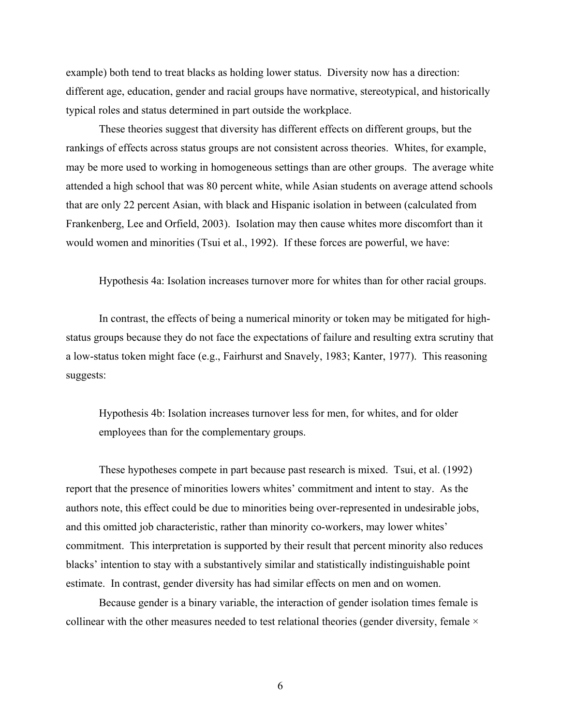example) both tend to treat blacks as holding lower status. Diversity now has a direction: different age, education, gender and racial groups have normative, stereotypical, and historically typical roles and status determined in part outside the workplace.

These theories suggest that diversity has different effects on different groups, but the rankings of effects across status groups are not consistent across theories. Whites, for example, may be more used to working in homogeneous settings than are other groups. The average white attended a high school that was 80 percent white, while Asian students on average attend schools that are only 22 percent Asian, with black and Hispanic isolation in between (calculated from Frankenberg, Lee and Orfield, 2003). Isolation may then cause whites more discomfort than it would women and minorities (Tsui et al., 1992). If these forces are powerful, we have:

Hypothesis 4a: Isolation increases turnover more for whites than for other racial groups.

In contrast, the effects of being a numerical minority or token may be mitigated for highstatus groups because they do not face the expectations of failure and resulting extra scrutiny that a low-status token might face (e.g., Fairhurst and Snavely, 1983; Kanter, 1977). This reasoning suggests:

Hypothesis 4b: Isolation increases turnover less for men, for whites, and for older employees than for the complementary groups.

These hypotheses compete in part because past research is mixed. Tsui, et al. (1992) report that the presence of minorities lowers whites' commitment and intent to stay. As the authors note, this effect could be due to minorities being over-represented in undesirable jobs, and this omitted job characteristic, rather than minority co-workers, may lower whites' commitment. This interpretation is supported by their result that percent minority also reduces blacks' intention to stay with a substantively similar and statistically indistinguishable point estimate. In contrast, gender diversity has had similar effects on men and on women.

Because gender is a binary variable, the interaction of gender isolation times female is collinear with the other measures needed to test relational theories (gender diversity, female  $\times$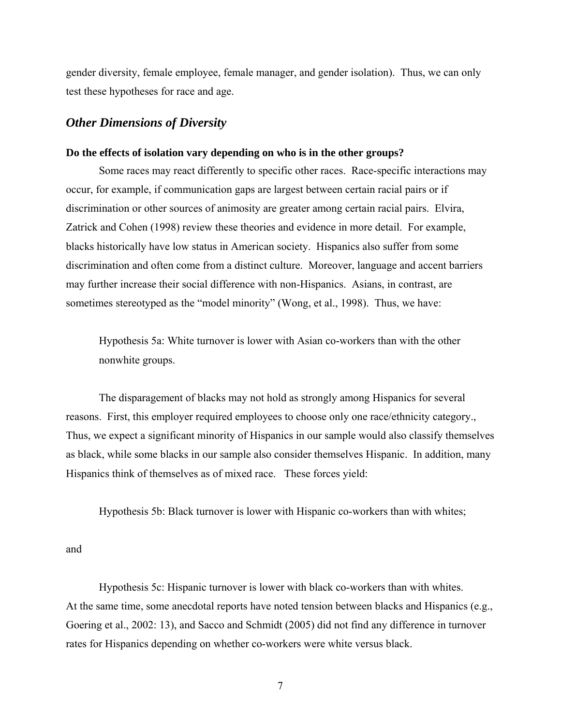gender diversity, female employee, female manager, and gender isolation). Thus, we can only test these hypotheses for race and age.

#### *Other Dimensions of Diversity*

#### **Do the effects of isolation vary depending on who is in the other groups?**

Some races may react differently to specific other races. Race-specific interactions may occur, for example, if communication gaps are largest between certain racial pairs or if discrimination or other sources of animosity are greater among certain racial pairs. Elvira, Zatrick and Cohen (1998) review these theories and evidence in more detail. For example, blacks historically have low status in American society. Hispanics also suffer from some discrimination and often come from a distinct culture. Moreover, language and accent barriers may further increase their social difference with non-Hispanics. Asians, in contrast, are sometimes stereotyped as the "model minority" (Wong, et al., 1998). Thus, we have:

Hypothesis 5a: White turnover is lower with Asian co-workers than with the other nonwhite groups.

The disparagement of blacks may not hold as strongly among Hispanics for several reasons. First, this employer required employees to choose only one race/ethnicity category., Thus, we expect a significant minority of Hispanics in our sample would also classify themselves as black, while some blacks in our sample also consider themselves Hispanic. In addition, many Hispanics think of themselves as of mixed race. These forces yield:

Hypothesis 5b: Black turnover is lower with Hispanic co-workers than with whites;

and

Hypothesis 5c: Hispanic turnover is lower with black co-workers than with whites. At the same time, some anecdotal reports have noted tension between blacks and Hispanics (e.g., Goering et al., 2002: 13), and Sacco and Schmidt (2005) did not find any difference in turnover rates for Hispanics depending on whether co-workers were white versus black.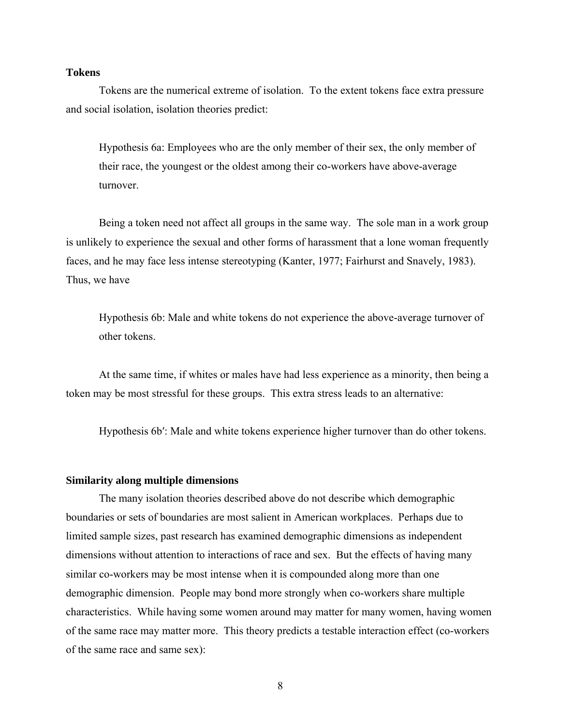#### **Tokens**

Tokens are the numerical extreme of isolation. To the extent tokens face extra pressure and social isolation, isolation theories predict:

Hypothesis 6a: Employees who are the only member of their sex, the only member of their race, the youngest or the oldest among their co-workers have above-average turnover.

Being a token need not affect all groups in the same way. The sole man in a work group is unlikely to experience the sexual and other forms of harassment that a lone woman frequently faces, and he may face less intense stereotyping (Kanter, 1977; Fairhurst and Snavely, 1983). Thus, we have

Hypothesis 6b: Male and white tokens do not experience the above-average turnover of other tokens.

At the same time, if whites or males have had less experience as a minority, then being a token may be most stressful for these groups. This extra stress leads to an alternative:

Hypothesis 6b′: Male and white tokens experience higher turnover than do other tokens.

#### **Similarity along multiple dimensions**

The many isolation theories described above do not describe which demographic boundaries or sets of boundaries are most salient in American workplaces. Perhaps due to limited sample sizes, past research has examined demographic dimensions as independent dimensions without attention to interactions of race and sex. But the effects of having many similar co-workers may be most intense when it is compounded along more than one demographic dimension. People may bond more strongly when co-workers share multiple characteristics. While having some women around may matter for many women, having women of the same race may matter more. This theory predicts a testable interaction effect (co-workers of the same race and same sex):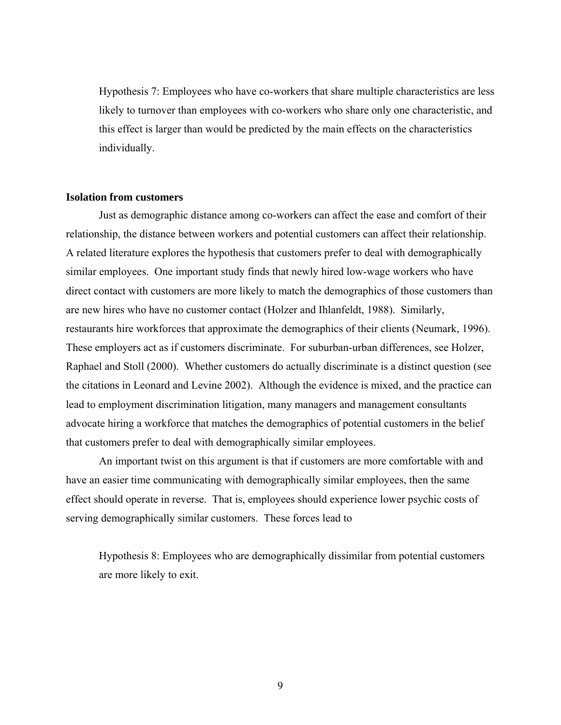Hypothesis 7: Employees who have co-workers that share multiple characteristics are less likely to turnover than employees with co-workers who share only one characteristic, and this effect is larger than would be predicted by the main effects on the characteristics individually.

#### **Isolation from customers**

Just as demographic distance among co-workers can affect the ease and comfort of their relationship, the distance between workers and potential customers can affect their relationship. A related literature explores the hypothesis that customers prefer to deal with demographically similar employees. One important study finds that newly hired low-wage workers who have direct contact with customers are more likely to match the demographics of those customers than are new hires who have no customer contact (Holzer and Ihlanfeldt, 1988). Similarly, restaurants hire workforces that approximate the demographics of their clients (Neumark, 1996). These employers act as if customers discriminate. For suburban-urban differences, see Holzer, Raphael and Stoll (2000). Whether customers do actually discriminate is a distinct question (see the citations in Leonard and Levine 2002). Although the evidence is mixed, and the practice can lead to employment discrimination litigation, many managers and management consultants advocate hiring a workforce that matches the demographics of potential customers in the belief that customers prefer to deal with demographically similar employees.

An important twist on this argument is that if customers are more comfortable with and have an easier time communicating with demographically similar employees, then the same effect should operate in reverse. That is, employees should experience lower psychic costs of serving demographically similar customers. These forces lead to

Hypothesis 8: Employees who are demographically dissimilar from potential customers are more likely to exit.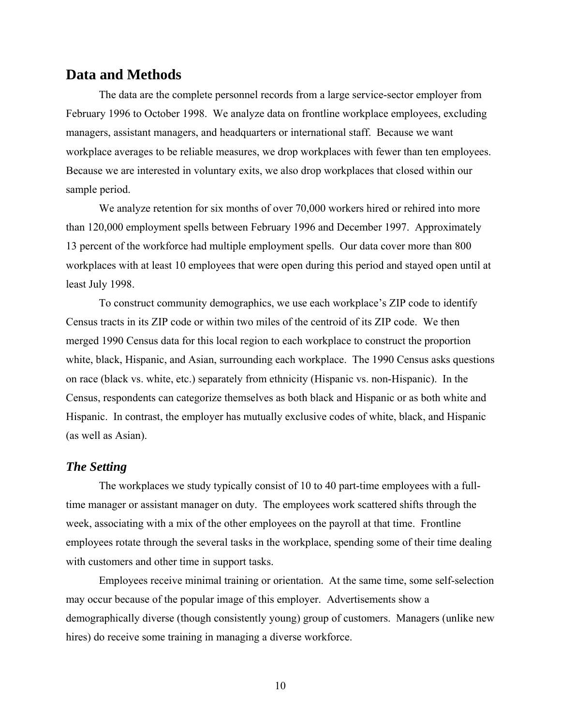## **Data and Methods**

The data are the complete personnel records from a large service-sector employer from February 1996 to October 1998. We analyze data on frontline workplace employees, excluding managers, assistant managers, and headquarters or international staff. Because we want workplace averages to be reliable measures, we drop workplaces with fewer than ten employees. Because we are interested in voluntary exits, we also drop workplaces that closed within our sample period.

We analyze retention for six months of over 70,000 workers hired or rehired into more than 120,000 employment spells between February 1996 and December 1997. Approximately 13 percent of the workforce had multiple employment spells. Our data cover more than 800 workplaces with at least 10 employees that were open during this period and stayed open until at least July 1998.

To construct community demographics, we use each workplace's ZIP code to identify Census tracts in its ZIP code or within two miles of the centroid of its ZIP code. We then merged 1990 Census data for this local region to each workplace to construct the proportion white, black, Hispanic, and Asian, surrounding each workplace. The 1990 Census asks questions on race (black vs. white, etc.) separately from ethnicity (Hispanic vs. non-Hispanic). In the Census, respondents can categorize themselves as both black and Hispanic or as both white and Hispanic. In contrast, the employer has mutually exclusive codes of white, black, and Hispanic (as well as Asian).

#### *The Setting*

The workplaces we study typically consist of 10 to 40 part-time employees with a fulltime manager or assistant manager on duty. The employees work scattered shifts through the week, associating with a mix of the other employees on the payroll at that time. Frontline employees rotate through the several tasks in the workplace, spending some of their time dealing with customers and other time in support tasks.

Employees receive minimal training or orientation. At the same time, some self-selection may occur because of the popular image of this employer. Advertisements show a demographically diverse (though consistently young) group of customers. Managers (unlike new hires) do receive some training in managing a diverse workforce.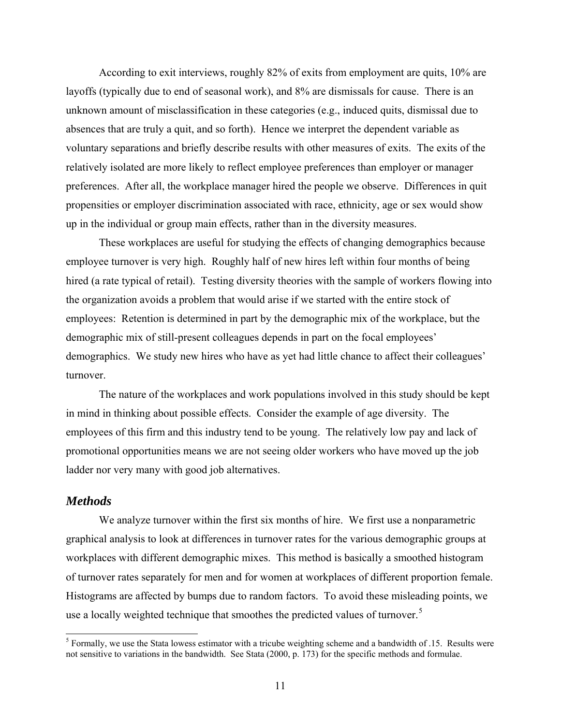According to exit interviews, roughly 82% of exits from employment are quits, 10% are layoffs (typically due to end of seasonal work), and 8% are dismissals for cause. There is an unknown amount of misclassification in these categories (e.g., induced quits, dismissal due to absences that are truly a quit, and so forth). Hence we interpret the dependent variable as voluntary separations and briefly describe results with other measures of exits. The exits of the relatively isolated are more likely to reflect employee preferences than employer or manager preferences. After all, the workplace manager hired the people we observe. Differences in quit propensities or employer discrimination associated with race, ethnicity, age or sex would show up in the individual or group main effects, rather than in the diversity measures.

These workplaces are useful for studying the effects of changing demographics because employee turnover is very high. Roughly half of new hires left within four months of being hired (a rate typical of retail). Testing diversity theories with the sample of workers flowing into the organization avoids a problem that would arise if we started with the entire stock of employees: Retention is determined in part by the demographic mix of the workplace, but the demographic mix of still-present colleagues depends in part on the focal employees' demographics. We study new hires who have as yet had little chance to affect their colleagues' turnover.

The nature of the workplaces and work populations involved in this study should be kept in mind in thinking about possible effects. Consider the example of age diversity. The employees of this firm and this industry tend to be young. The relatively low pay and lack of promotional opportunities means we are not seeing older workers who have moved up the job ladder nor very many with good job alternatives.

### *Methods*

We analyze turnover within the first six months of hire. We first use a nonparametric graphical analysis to look at differences in turnover rates for the various demographic groups at workplaces with different demographic mixes. This method is basically a smoothed histogram of turnover rates separately for men and for women at workplaces of different proportion female. Histograms are affected by bumps due to random factors. To avoid these misleading points, we use a locally weighted technique that smoothes the predicted values of turnover.<sup>[5](#page-12-0)</sup>

<span id="page-12-0"></span><sup>&</sup>lt;sup>5</sup> Formally, we use the Stata lowess estimator with a tricube weighting scheme and a bandwidth of .15. Results were not sensitive to variations in the bandwidth. See Stata (2000, p. 173) for the specific methods and formulae.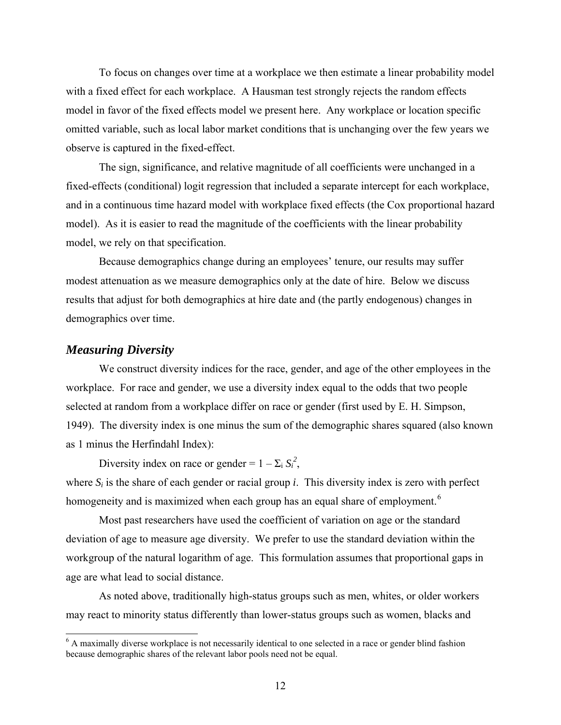To focus on changes over time at a workplace we then estimate a linear probability model with a fixed effect for each workplace. A Hausman test strongly rejects the random effects model in favor of the fixed effects model we present here. Any workplace or location specific omitted variable, such as local labor market conditions that is unchanging over the few years we observe is captured in the fixed-effect.

The sign, significance, and relative magnitude of all coefficients were unchanged in a fixed-effects (conditional) logit regression that included a separate intercept for each workplace, and in a continuous time hazard model with workplace fixed effects (the Cox proportional hazard model). As it is easier to read the magnitude of the coefficients with the linear probability model, we rely on that specification.

Because demographics change during an employees' tenure, our results may suffer modest attenuation as we measure demographics only at the date of hire. Below we discuss results that adjust for both demographics at hire date and (the partly endogenous) changes in demographics over time.

#### *Measuring Diversity*

 $\overline{a}$ 

We construct diversity indices for the race, gender, and age of the other employees in the workplace. For race and gender, we use a diversity index equal to the odds that two people selected at random from a workplace differ on race or gender (first used by E. H. Simpson, 1949). The diversity index is one minus the sum of the demographic shares squared (also known as 1 minus the Herfindahl Index):

Diversity index on race or gender =  $1 - \sum_i S_i^2$ ,

where  $S_i$  is the share of each gender or racial group *i*. This diversity index is zero with perfect homogeneity and is maximized when each group has an equal share of employment.<sup>[6](#page-13-0)</sup>

Most past researchers have used the coefficient of variation on age or the standard deviation of age to measure age diversity. We prefer to use the standard deviation within the workgroup of the natural logarithm of age. This formulation assumes that proportional gaps in age are what lead to social distance.

As noted above, traditionally high-status groups such as men, whites, or older workers may react to minority status differently than lower-status groups such as women, blacks and

<span id="page-13-0"></span><sup>&</sup>lt;sup>6</sup> A maximally diverse workplace is not necessarily identical to one selected in a race or gender blind fashion because demographic shares of the relevant labor pools need not be equal.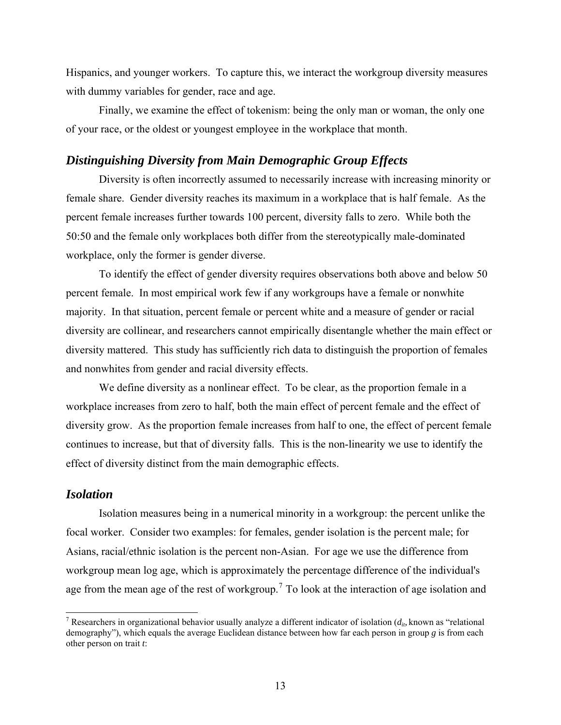Hispanics, and younger workers. To capture this, we interact the workgroup diversity measures with dummy variables for gender, race and age.

Finally, we examine the effect of tokenism: being the only man or woman, the only one of your race, or the oldest or youngest employee in the workplace that month.

#### *Distinguishing Diversity from Main Demographic Group Effects*

Diversity is often incorrectly assumed to necessarily increase with increasing minority or female share. Gender diversity reaches its maximum in a workplace that is half female. As the percent female increases further towards 100 percent, diversity falls to zero. While both the 50:50 and the female only workplaces both differ from the stereotypically male-dominated workplace, only the former is gender diverse.

To identify the effect of gender diversity requires observations both above and below 50 percent female. In most empirical work few if any workgroups have a female or nonwhite majority. In that situation, percent female or percent white and a measure of gender or racial diversity are collinear, and researchers cannot empirically disentangle whether the main effect or diversity mattered. This study has sufficiently rich data to distinguish the proportion of females and nonwhites from gender and racial diversity effects.

We define diversity as a nonlinear effect. To be clear, as the proportion female in a workplace increases from zero to half, both the main effect of percent female and the effect of diversity grow. As the proportion female increases from half to one, the effect of percent female continues to increase, but that of diversity falls. This is the non-linearity we use to identify the effect of diversity distinct from the main demographic effects.

### *Isolation*

 $\overline{a}$ 

Isolation measures being in a numerical minority in a workgroup: the percent unlike the focal worker. Consider two examples: for females, gender isolation is the percent male; for Asians, racial/ethnic isolation is the percent non-Asian. For age we use the difference from workgroup mean log age, which is approximately the percentage difference of the individual's age from the mean age of the rest of workgroup.<sup>[7](#page-14-0)</sup> To look at the interaction of age isolation and

<span id="page-14-0"></span><sup>&</sup>lt;sup>7</sup> Researchers in organizational behavior usually analyze a different indicator of isolation  $(d_{i_b}$  known as "relational demography"), which equals the average Euclidean distance between how far each person in group *g* is from each other person on trait *t*: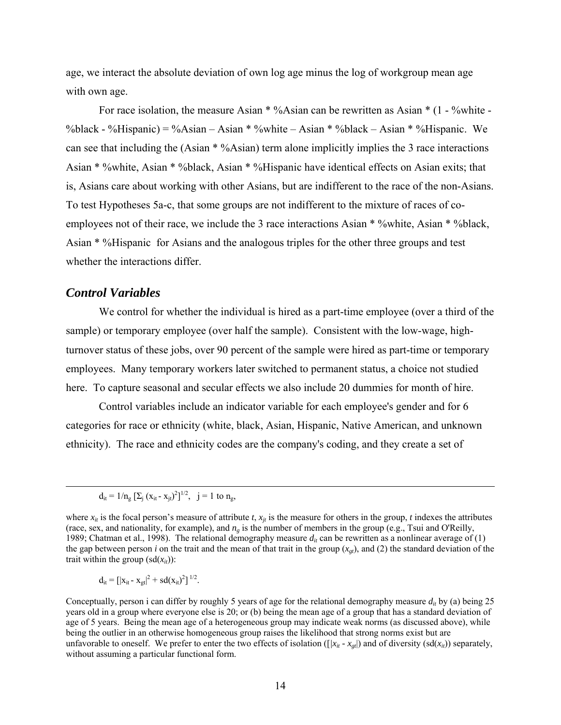age, we interact the absolute deviation of own log age minus the log of workgroup mean age with own age.

For race isolation, the measure Asian \* %Asian can be rewritten as Asian \*  $(1 - %white -$ %black - %Hispanic) = %Asian – Asian \* %white – Asian \* %black – Asian \* %Hispanic. We can see that including the (Asian \* %Asian) term alone implicitly implies the 3 race interactions Asian \* %white, Asian \* %black, Asian \* %Hispanic have identical effects on Asian exits; that is, Asians care about working with other Asians, but are indifferent to the race of the non-Asians. To test Hypotheses 5a-c, that some groups are not indifferent to the mixture of races of coemployees not of their race, we include the 3 race interactions Asian \* %white, Asian \* %black, Asian \* %Hispanic for Asians and the analogous triples for the other three groups and test whether the interactions differ.

#### *Control Variables*

 $\overline{a}$ 

We control for whether the individual is hired as a part-time employee (over a third of the sample) or temporary employee (over half the sample). Consistent with the low-wage, highturnover status of these jobs, over 90 percent of the sample were hired as part-time or temporary employees. Many temporary workers later switched to permanent status, a choice not studied here. To capture seasonal and secular effects we also include 20 dummies for month of hire.

Control variables include an indicator variable for each employee's gender and for 6 categories for race or ethnicity (white, black, Asian, Hispanic, Native American, and unknown ethnicity). The race and ethnicity codes are the company's coding, and they create a set of

$$
d_{it} = [[x_{it} - x_{gt}]^{2} + sd(x_{it})^{2}]^{1/2}.
$$

 $d_{it} = 1/n_g [\sum_j (x_{it} - x_{jt})^2]^{1/2}$ , j = 1 to n<sub>g</sub>,

where  $x_{it}$  is the focal person's measure of attribute  $t$ ,  $x_{it}$  is the measure for others in the group,  $t$  indexes the attributes (race, sex, and nationality, for example), and *ng* is the number of members in the group (e.g., Tsui and O'Reilly, 1989; Chatman et al., 1998). The relational demography measure  $d<sub>it</sub>$  can be rewritten as a nonlinear average of (1) the gap between person *i* on the trait and the mean of that trait in the group  $(x_{\alpha}$ , and (2) the standard deviation of the trait within the group  $(sd(x_{it}))$ :

Conceptually, person i can differ by roughly 5 years of age for the relational demography measure  $d_i$ , by (a) being 25 years old in a group where everyone else is 20; or (b) being the mean age of a group that has a standard deviation of age of 5 years. Being the mean age of a heterogeneous group may indicate weak norms (as discussed above), while being the outlier in an otherwise homogeneous group raises the likelihood that strong norms exist but are unfavorable to oneself. We prefer to enter the two effects of isolation ( $[x_i - x_{gt}]$ ) and of diversity (sd( $x_{it}$ )) separately, without assuming a particular functional form.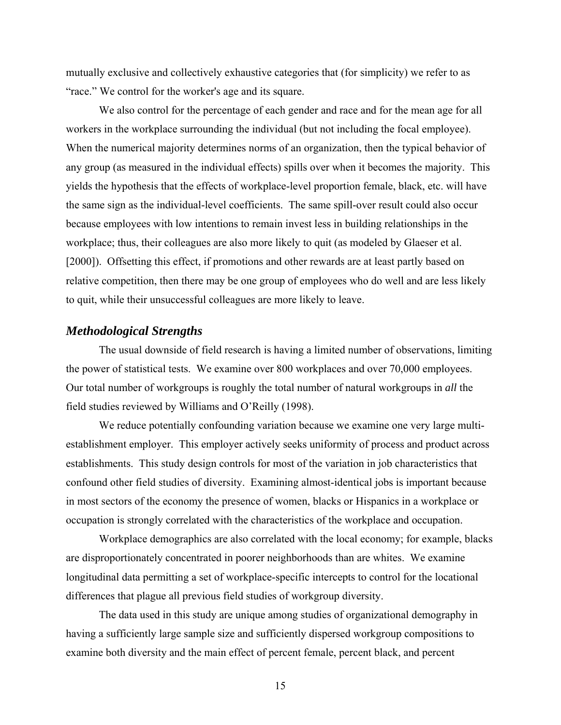mutually exclusive and collectively exhaustive categories that (for simplicity) we refer to as "race." We control for the worker's age and its square.

We also control for the percentage of each gender and race and for the mean age for all workers in the workplace surrounding the individual (but not including the focal employee). When the numerical majority determines norms of an organization, then the typical behavior of any group (as measured in the individual effects) spills over when it becomes the majority. This yields the hypothesis that the effects of workplace-level proportion female, black, etc. will have the same sign as the individual-level coefficients. The same spill-over result could also occur because employees with low intentions to remain invest less in building relationships in the workplace; thus, their colleagues are also more likely to quit (as modeled by Glaeser et al. [2000]). Offsetting this effect, if promotions and other rewards are at least partly based on relative competition, then there may be one group of employees who do well and are less likely to quit, while their unsuccessful colleagues are more likely to leave.

#### *Methodological Strengths*

The usual downside of field research is having a limited number of observations, limiting the power of statistical tests. We examine over 800 workplaces and over 70,000 employees. Our total number of workgroups is roughly the total number of natural workgroups in *all* the field studies reviewed by Williams and O'Reilly (1998).

We reduce potentially confounding variation because we examine one very large multiestablishment employer. This employer actively seeks uniformity of process and product across establishments. This study design controls for most of the variation in job characteristics that confound other field studies of diversity. Examining almost-identical jobs is important because in most sectors of the economy the presence of women, blacks or Hispanics in a workplace or occupation is strongly correlated with the characteristics of the workplace and occupation.

Workplace demographics are also correlated with the local economy; for example, blacks are disproportionately concentrated in poorer neighborhoods than are whites. We examine longitudinal data permitting a set of workplace-specific intercepts to control for the locational differences that plague all previous field studies of workgroup diversity.

The data used in this study are unique among studies of organizational demography in having a sufficiently large sample size and sufficiently dispersed workgroup compositions to examine both diversity and the main effect of percent female, percent black, and percent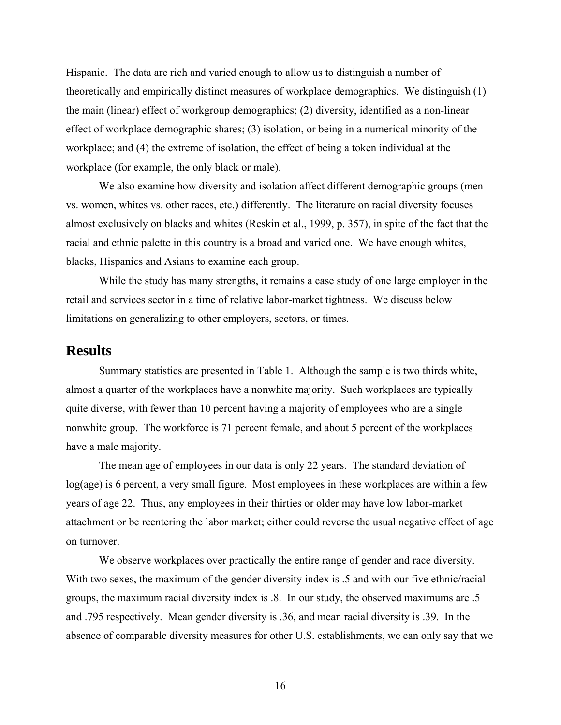Hispanic. The data are rich and varied enough to allow us to distinguish a number of theoretically and empirically distinct measures of workplace demographics. We distinguish (1) the main (linear) effect of workgroup demographics; (2) diversity, identified as a non-linear effect of workplace demographic shares; (3) isolation, or being in a numerical minority of the workplace; and (4) the extreme of isolation, the effect of being a token individual at the workplace (for example, the only black or male).

We also examine how diversity and isolation affect different demographic groups (men vs. women, whites vs. other races, etc.) differently. The literature on racial diversity focuses almost exclusively on blacks and whites (Reskin et al., 1999, p. 357), in spite of the fact that the racial and ethnic palette in this country is a broad and varied one. We have enough whites, blacks, Hispanics and Asians to examine each group.

While the study has many strengths, it remains a case study of one large employer in the retail and services sector in a time of relative labor-market tightness. We discuss below limitations on generalizing to other employers, sectors, or times.

### **Results**

Summary statistics are presented in Table 1. Although the sample is two thirds white, almost a quarter of the workplaces have a nonwhite majority. Such workplaces are typically quite diverse, with fewer than 10 percent having a majority of employees who are a single nonwhite group. The workforce is 71 percent female, and about 5 percent of the workplaces have a male majority.

The mean age of employees in our data is only 22 years. The standard deviation of log(age) is 6 percent, a very small figure. Most employees in these workplaces are within a few years of age 22. Thus, any employees in their thirties or older may have low labor-market attachment or be reentering the labor market; either could reverse the usual negative effect of age on turnover.

We observe workplaces over practically the entire range of gender and race diversity. With two sexes, the maximum of the gender diversity index is  $\sim$  5 and with our five ethnic/racial groups, the maximum racial diversity index is .8. In our study, the observed maximums are .5 and .795 respectively. Mean gender diversity is .36, and mean racial diversity is .39. In the absence of comparable diversity measures for other U.S. establishments, we can only say that we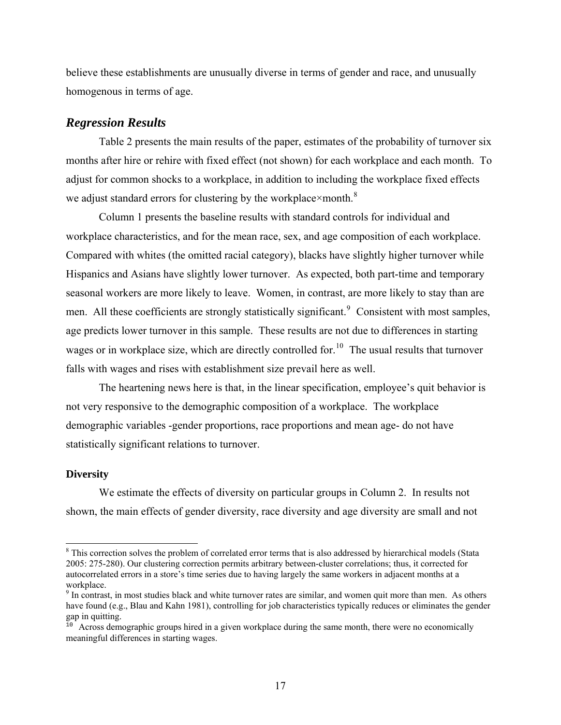believe these establishments are unusually diverse in terms of gender and race, and unusually homogenous in terms of age.

### *Regression Results*

Table 2 presents the main results of the paper, estimates of the probability of turnover six months after hire or rehire with fixed effect (not shown) for each workplace and each month. To adjust for common shocks to a workplace, in addition to including the workplace fixed effects we adjust standard errors for clustering by the workplace×month.<sup>[8](#page-18-0)</sup>

Column 1 presents the baseline results with standard controls for individual and workplace characteristics, and for the mean race, sex, and age composition of each workplace. Compared with whites (the omitted racial category), blacks have slightly higher turnover while Hispanics and Asians have slightly lower turnover. As expected, both part-time and temporary seasonal workers are more likely to leave. Women, in contrast, are more likely to stay than are men. All these coefficients are strongly statistically significant.<sup>[9](#page-18-1)</sup> Consistent with most samples, age predicts lower turnover in this sample. These results are not due to differences in starting wages or in workplace size, which are directly controlled for.<sup>[10](#page-18-2)</sup> The usual results that turnover falls with wages and rises with establishment size prevail here as well.

The heartening news here is that, in the linear specification, employee's quit behavior is not very responsive to the demographic composition of a workplace. The workplace demographic variables -gender proportions, race proportions and mean age- do not have statistically significant relations to turnover.

#### **Diversity**

 $\overline{a}$ 

We estimate the effects of diversity on particular groups in Column 2. In results not shown, the main effects of gender diversity, race diversity and age diversity are small and not

<span id="page-18-0"></span><sup>&</sup>lt;sup>8</sup> This correction solves the problem of correlated error terms that is also addressed by hierarchical models (Stata 2005: 275-280). Our clustering correction permits arbitrary between-cluster correlations; thus, it corrected for autocorrelated errors in a store's time series due to having largely the same workers in adjacent months at a workplace.

<span id="page-18-1"></span><sup>&</sup>lt;sup>9</sup> In contrast, in most studies black and white turnover rates are similar, and women quit more than men. As others have found (e.g., Blau and Kahn 1981), controlling for job characteristics typically reduces or eliminates the gender gap in quitting.

<span id="page-18-2"></span> $10<sup>10</sup>$  Across demographic groups hired in a given workplace during the same month, there were no economically meaningful differences in starting wages.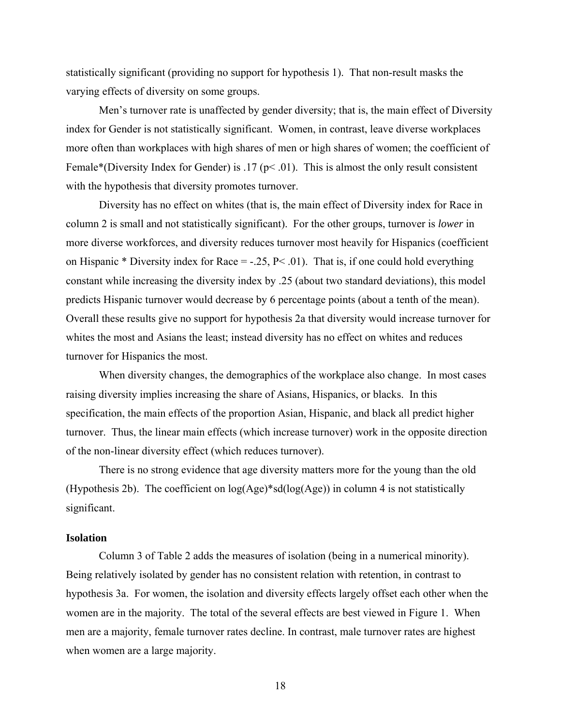statistically significant (providing no support for hypothesis 1). That non-result masks the varying effects of diversity on some groups.

Men's turnover rate is unaffected by gender diversity; that is, the main effect of Diversity index for Gender is not statistically significant. Women, in contrast, leave diverse workplaces more often than workplaces with high shares of men or high shares of women; the coefficient of Female\*(Diversity Index for Gender) is .17 ( $p$ < .01). This is almost the only result consistent with the hypothesis that diversity promotes turnover.

Diversity has no effect on whites (that is, the main effect of Diversity index for Race in column 2 is small and not statistically significant). For the other groups, turnover is *lower* in more diverse workforces, and diversity reduces turnover most heavily for Hispanics (coefficient on Hispanic \* Diversity index for Race =  $-0.25$ , P  $\leq 0.01$ ). That is, if one could hold everything constant while increasing the diversity index by .25 (about two standard deviations), this model predicts Hispanic turnover would decrease by 6 percentage points (about a tenth of the mean). Overall these results give no support for hypothesis 2a that diversity would increase turnover for whites the most and Asians the least; instead diversity has no effect on whites and reduces turnover for Hispanics the most.

When diversity changes, the demographics of the workplace also change. In most cases raising diversity implies increasing the share of Asians, Hispanics, or blacks. In this specification, the main effects of the proportion Asian, Hispanic, and black all predict higher turnover. Thus, the linear main effects (which increase turnover) work in the opposite direction of the non-linear diversity effect (which reduces turnover).

There is no strong evidence that age diversity matters more for the young than the old (Hypothesis 2b). The coefficient on  $log(Age)*sd(log(Age))$  in column 4 is not statistically significant.

#### **Isolation**

Column 3 of Table 2 adds the measures of isolation (being in a numerical minority). Being relatively isolated by gender has no consistent relation with retention, in contrast to hypothesis 3a. For women, the isolation and diversity effects largely offset each other when the women are in the majority. The total of the several effects are best viewed in Figure 1. When men are a majority, female turnover rates decline. In contrast, male turnover rates are highest when women are a large majority.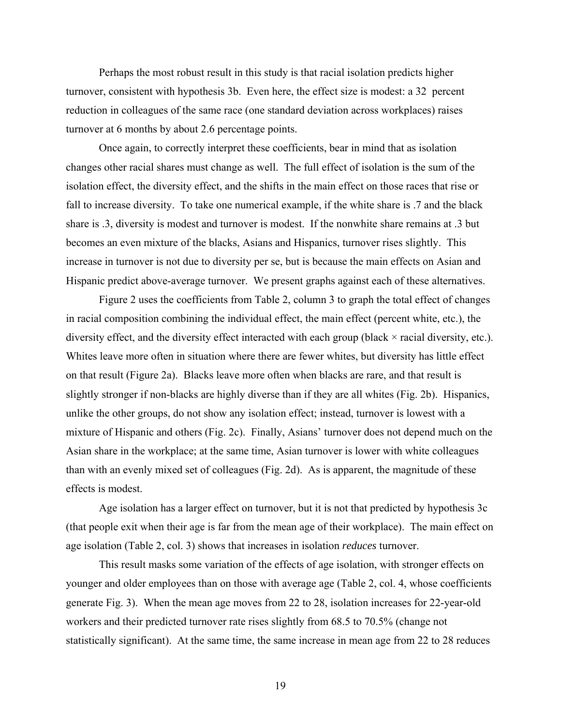Perhaps the most robust result in this study is that racial isolation predicts higher turnover, consistent with hypothesis 3b. Even here, the effect size is modest: a 32 percent reduction in colleagues of the same race (one standard deviation across workplaces) raises turnover at 6 months by about 2.6 percentage points.

Once again, to correctly interpret these coefficients, bear in mind that as isolation changes other racial shares must change as well. The full effect of isolation is the sum of the isolation effect, the diversity effect, and the shifts in the main effect on those races that rise or fall to increase diversity. To take one numerical example, if the white share is .7 and the black share is .3, diversity is modest and turnover is modest. If the nonwhite share remains at .3 but becomes an even mixture of the blacks, Asians and Hispanics, turnover rises slightly. This increase in turnover is not due to diversity per se, but is because the main effects on Asian and Hispanic predict above-average turnover. We present graphs against each of these alternatives.

Figure 2 uses the coefficients from Table 2, column 3 to graph the total effect of changes in racial composition combining the individual effect, the main effect (percent white, etc.), the diversity effect, and the diversity effect interacted with each group (black  $\times$  racial diversity, etc.). Whites leave more often in situation where there are fewer whites, but diversity has little effect on that result (Figure 2a). Blacks leave more often when blacks are rare, and that result is slightly stronger if non-blacks are highly diverse than if they are all whites (Fig. 2b). Hispanics, unlike the other groups, do not show any isolation effect; instead, turnover is lowest with a mixture of Hispanic and others (Fig. 2c). Finally, Asians' turnover does not depend much on the Asian share in the workplace; at the same time, Asian turnover is lower with white colleagues than with an evenly mixed set of colleagues (Fig. 2d). As is apparent, the magnitude of these effects is modest.

Age isolation has a larger effect on turnover, but it is not that predicted by hypothesis 3c (that people exit when their age is far from the mean age of their workplace). The main effect on age isolation (Table 2, col. 3) shows that increases in isolation *reduces* turnover.

This result masks some variation of the effects of age isolation, with stronger effects on younger and older employees than on those with average age (Table 2, col. 4, whose coefficients generate Fig. 3). When the mean age moves from 22 to 28, isolation increases for 22-year-old workers and their predicted turnover rate rises slightly from 68.5 to 70.5% (change not statistically significant). At the same time, the same increase in mean age from 22 to 28 reduces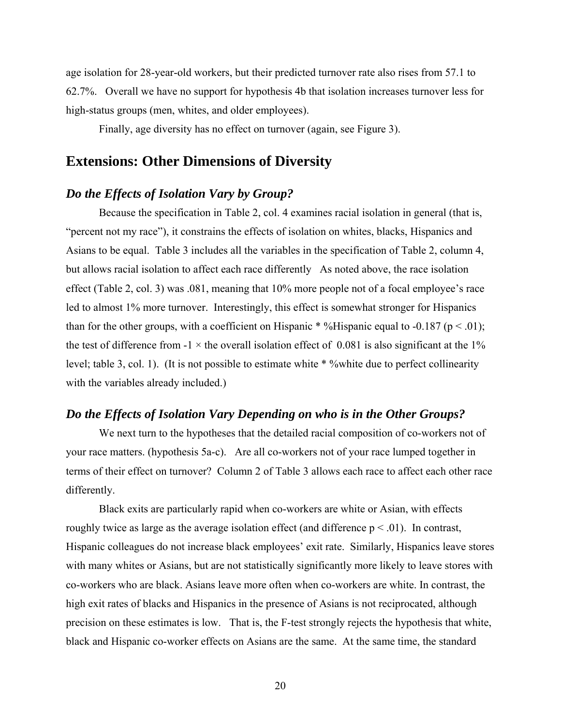age isolation for 28-year-old workers, but their predicted turnover rate also rises from 57.1 to 62.7%. Overall we have no support for hypothesis 4b that isolation increases turnover less for high-status groups (men, whites, and older employees).

Finally, age diversity has no effect on turnover (again, see Figure 3).

### **Extensions: Other Dimensions of Diversity**

#### *Do the Effects of Isolation Vary by Group?*

Because the specification in Table 2, col. 4 examines racial isolation in general (that is, "percent not my race"), it constrains the effects of isolation on whites, blacks, Hispanics and Asians to be equal. Table 3 includes all the variables in the specification of Table 2, column 4, but allows racial isolation to affect each race differently As noted above, the race isolation effect (Table 2, col. 3) was .081, meaning that 10% more people not of a focal employee's race led to almost 1% more turnover. Interestingly, this effect is somewhat stronger for Hispanics than for the other groups, with a coefficient on Hispanic \* %Hispanic equal to -0.187 ( $p < .01$ ); the test of difference from  $-1 \times$  the overall isolation effect of 0.081 is also significant at the 1% level; table 3, col. 1). (It is not possible to estimate white \* %white due to perfect collinearity with the variables already included.)

## *Do the Effects of Isolation Vary Depending on who is in the Other Groups?*

We next turn to the hypotheses that the detailed racial composition of co-workers not of your race matters. (hypothesis 5a-c). Are all co-workers not of your race lumped together in terms of their effect on turnover? Column 2 of Table 3 allows each race to affect each other race differently.

Black exits are particularly rapid when co-workers are white or Asian, with effects roughly twice as large as the average isolation effect (and difference  $p < .01$ ). In contrast, Hispanic colleagues do not increase black employees' exit rate. Similarly, Hispanics leave stores with many whites or Asians, but are not statistically significantly more likely to leave stores with co-workers who are black. Asians leave more often when co-workers are white. In contrast, the high exit rates of blacks and Hispanics in the presence of Asians is not reciprocated, although precision on these estimates is low. That is, the F-test strongly rejects the hypothesis that white, black and Hispanic co-worker effects on Asians are the same. At the same time, the standard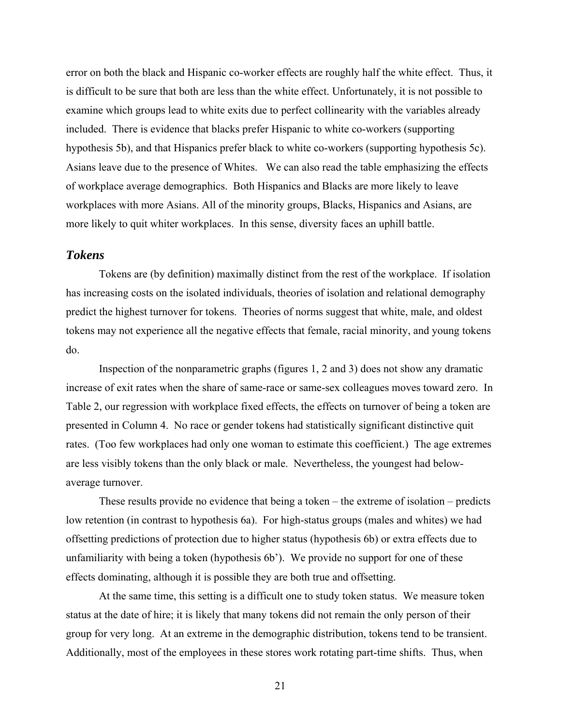error on both the black and Hispanic co-worker effects are roughly half the white effect. Thus, it is difficult to be sure that both are less than the white effect. Unfortunately, it is not possible to examine which groups lead to white exits due to perfect collinearity with the variables already included. There is evidence that blacks prefer Hispanic to white co-workers (supporting hypothesis 5b), and that Hispanics prefer black to white co-workers (supporting hypothesis 5c). Asians leave due to the presence of Whites. We can also read the table emphasizing the effects of workplace average demographics. Both Hispanics and Blacks are more likely to leave workplaces with more Asians. All of the minority groups, Blacks, Hispanics and Asians, are more likely to quit whiter workplaces. In this sense, diversity faces an uphill battle.

### *Tokens*

Tokens are (by definition) maximally distinct from the rest of the workplace. If isolation has increasing costs on the isolated individuals, theories of isolation and relational demography predict the highest turnover for tokens. Theories of norms suggest that white, male, and oldest tokens may not experience all the negative effects that female, racial minority, and young tokens do.

Inspection of the nonparametric graphs (figures 1, 2 and 3) does not show any dramatic increase of exit rates when the share of same-race or same-sex colleagues moves toward zero. In Table 2, our regression with workplace fixed effects, the effects on turnover of being a token are presented in Column 4. No race or gender tokens had statistically significant distinctive quit rates. (Too few workplaces had only one woman to estimate this coefficient.) The age extremes are less visibly tokens than the only black or male. Nevertheless, the youngest had belowaverage turnover.

These results provide no evidence that being a token – the extreme of isolation – predicts low retention (in contrast to hypothesis 6a). For high-status groups (males and whites) we had offsetting predictions of protection due to higher status (hypothesis 6b) or extra effects due to unfamiliarity with being a token (hypothesis 6b'). We provide no support for one of these effects dominating, although it is possible they are both true and offsetting.

At the same time, this setting is a difficult one to study token status. We measure token status at the date of hire; it is likely that many tokens did not remain the only person of their group for very long. At an extreme in the demographic distribution, tokens tend to be transient. Additionally, most of the employees in these stores work rotating part-time shifts. Thus, when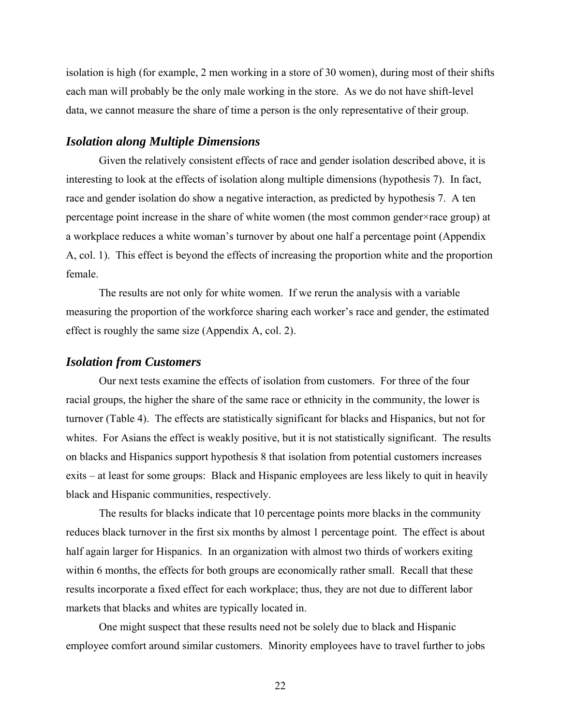isolation is high (for example, 2 men working in a store of 30 women), during most of their shifts each man will probably be the only male working in the store. As we do not have shift-level data, we cannot measure the share of time a person is the only representative of their group.

### *Isolation along Multiple Dimensions*

Given the relatively consistent effects of race and gender isolation described above, it is interesting to look at the effects of isolation along multiple dimensions (hypothesis 7). In fact, race and gender isolation do show a negative interaction, as predicted by hypothesis 7. A ten percentage point increase in the share of white women (the most common gender×race group) at a workplace reduces a white woman's turnover by about one half a percentage point (Appendix A, col. 1). This effect is beyond the effects of increasing the proportion white and the proportion female.

The results are not only for white women. If we rerun the analysis with a variable measuring the proportion of the workforce sharing each worker's race and gender, the estimated effect is roughly the same size (Appendix A, col. 2).

#### *Isolation from Customers*

Our next tests examine the effects of isolation from customers. For three of the four racial groups, the higher the share of the same race or ethnicity in the community, the lower is turnover (Table 4). The effects are statistically significant for blacks and Hispanics, but not for whites. For Asians the effect is weakly positive, but it is not statistically significant. The results on blacks and Hispanics support hypothesis 8 that isolation from potential customers increases exits – at least for some groups: Black and Hispanic employees are less likely to quit in heavily black and Hispanic communities, respectively.

The results for blacks indicate that 10 percentage points more blacks in the community reduces black turnover in the first six months by almost 1 percentage point. The effect is about half again larger for Hispanics. In an organization with almost two thirds of workers exiting within 6 months, the effects for both groups are economically rather small. Recall that these results incorporate a fixed effect for each workplace; thus, they are not due to different labor markets that blacks and whites are typically located in.

One might suspect that these results need not be solely due to black and Hispanic employee comfort around similar customers. Minority employees have to travel further to jobs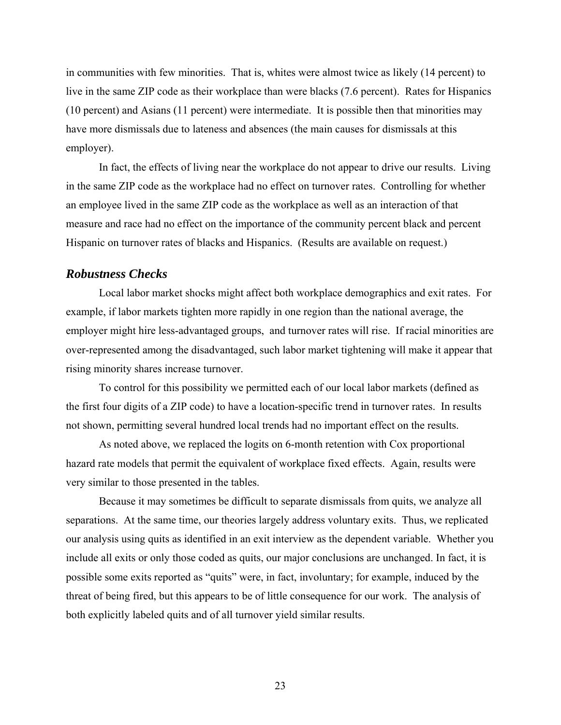in communities with few minorities. That is, whites were almost twice as likely (14 percent) to live in the same ZIP code as their workplace than were blacks (7.6 percent). Rates for Hispanics (10 percent) and Asians (11 percent) were intermediate. It is possible then that minorities may have more dismissals due to lateness and absences (the main causes for dismissals at this employer).

In fact, the effects of living near the workplace do not appear to drive our results. Living in the same ZIP code as the workplace had no effect on turnover rates. Controlling for whether an employee lived in the same ZIP code as the workplace as well as an interaction of that measure and race had no effect on the importance of the community percent black and percent Hispanic on turnover rates of blacks and Hispanics. (Results are available on request.)

#### *Robustness Checks*

Local labor market shocks might affect both workplace demographics and exit rates. For example, if labor markets tighten more rapidly in one region than the national average, the employer might hire less-advantaged groups, and turnover rates will rise. If racial minorities are over-represented among the disadvantaged, such labor market tightening will make it appear that rising minority shares increase turnover.

To control for this possibility we permitted each of our local labor markets (defined as the first four digits of a ZIP code) to have a location-specific trend in turnover rates. In results not shown, permitting several hundred local trends had no important effect on the results.

As noted above, we replaced the logits on 6-month retention with Cox proportional hazard rate models that permit the equivalent of workplace fixed effects. Again, results were very similar to those presented in the tables.

Because it may sometimes be difficult to separate dismissals from quits, we analyze all separations. At the same time, our theories largely address voluntary exits. Thus, we replicated our analysis using quits as identified in an exit interview as the dependent variable. Whether you include all exits or only those coded as quits, our major conclusions are unchanged. In fact, it is possible some exits reported as "quits" were, in fact, involuntary; for example, induced by the threat of being fired, but this appears to be of little consequence for our work. The analysis of both explicitly labeled quits and of all turnover yield similar results.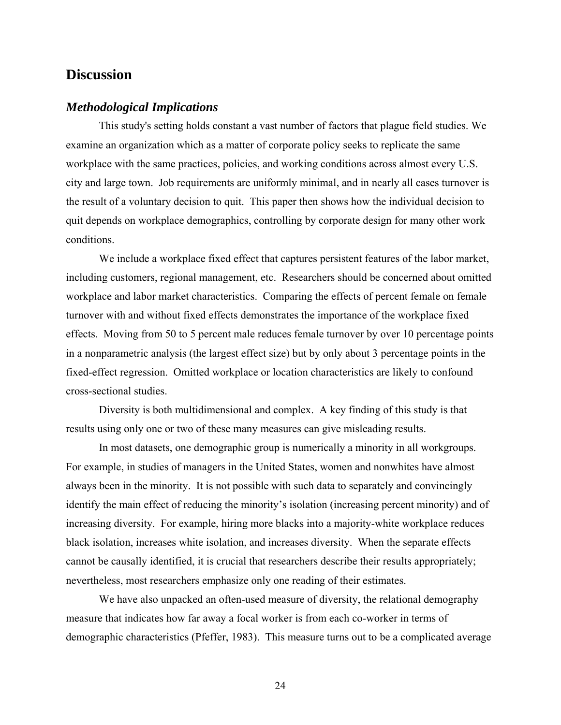## **Discussion**

### *Methodological Implications*

This study's setting holds constant a vast number of factors that plague field studies. We examine an organization which as a matter of corporate policy seeks to replicate the same workplace with the same practices, policies, and working conditions across almost every U.S. city and large town. Job requirements are uniformly minimal, and in nearly all cases turnover is the result of a voluntary decision to quit. This paper then shows how the individual decision to quit depends on workplace demographics, controlling by corporate design for many other work conditions.

We include a workplace fixed effect that captures persistent features of the labor market, including customers, regional management, etc. Researchers should be concerned about omitted workplace and labor market characteristics. Comparing the effects of percent female on female turnover with and without fixed effects demonstrates the importance of the workplace fixed effects. Moving from 50 to 5 percent male reduces female turnover by over 10 percentage points in a nonparametric analysis (the largest effect size) but by only about 3 percentage points in the fixed-effect regression. Omitted workplace or location characteristics are likely to confound cross-sectional studies.

Diversity is both multidimensional and complex. A key finding of this study is that results using only one or two of these many measures can give misleading results.

In most datasets, one demographic group is numerically a minority in all workgroups. For example, in studies of managers in the United States, women and nonwhites have almost always been in the minority. It is not possible with such data to separately and convincingly identify the main effect of reducing the minority's isolation (increasing percent minority) and of increasing diversity. For example, hiring more blacks into a majority-white workplace reduces black isolation, increases white isolation, and increases diversity. When the separate effects cannot be causally identified, it is crucial that researchers describe their results appropriately; nevertheless, most researchers emphasize only one reading of their estimates.

We have also unpacked an often-used measure of diversity, the relational demography measure that indicates how far away a focal worker is from each co-worker in terms of demographic characteristics (Pfeffer, 1983). This measure turns out to be a complicated average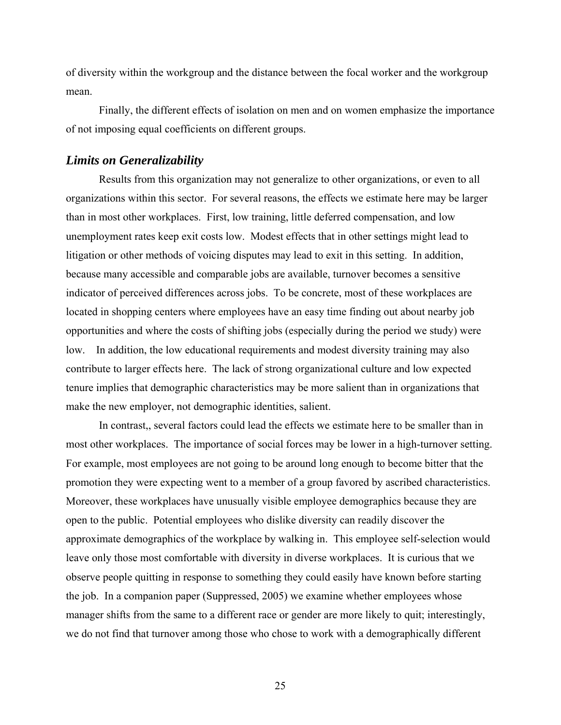of diversity within the workgroup and the distance between the focal worker and the workgroup mean.

Finally, the different effects of isolation on men and on women emphasize the importance of not imposing equal coefficients on different groups.

#### *Limits on Generalizability*

Results from this organization may not generalize to other organizations, or even to all organizations within this sector. For several reasons, the effects we estimate here may be larger than in most other workplaces. First, low training, little deferred compensation, and low unemployment rates keep exit costs low. Modest effects that in other settings might lead to litigation or other methods of voicing disputes may lead to exit in this setting. In addition, because many accessible and comparable jobs are available, turnover becomes a sensitive indicator of perceived differences across jobs. To be concrete, most of these workplaces are located in shopping centers where employees have an easy time finding out about nearby job opportunities and where the costs of shifting jobs (especially during the period we study) were low. In addition, the low educational requirements and modest diversity training may also contribute to larger effects here. The lack of strong organizational culture and low expected tenure implies that demographic characteristics may be more salient than in organizations that make the new employer, not demographic identities, salient.

In contrast,, several factors could lead the effects we estimate here to be smaller than in most other workplaces. The importance of social forces may be lower in a high-turnover setting. For example, most employees are not going to be around long enough to become bitter that the promotion they were expecting went to a member of a group favored by ascribed characteristics. Moreover, these workplaces have unusually visible employee demographics because they are open to the public. Potential employees who dislike diversity can readily discover the approximate demographics of the workplace by walking in. This employee self-selection would leave only those most comfortable with diversity in diverse workplaces. It is curious that we observe people quitting in response to something they could easily have known before starting the job. In a companion paper (Suppressed, 2005) we examine whether employees whose manager shifts from the same to a different race or gender are more likely to quit; interestingly, we do not find that turnover among those who chose to work with a demographically different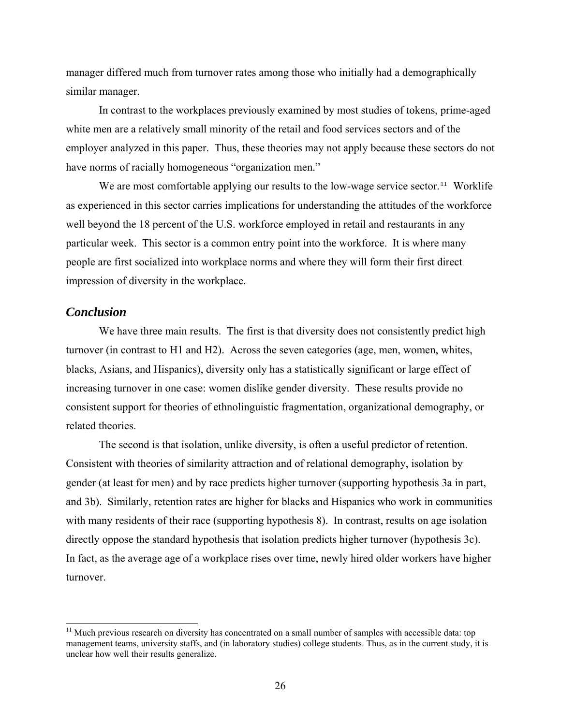manager differed much from turnover rates among those who initially had a demographically similar manager.

In contrast to the workplaces previously examined by most studies of tokens, prime-aged white men are a relatively small minority of the retail and food services sectors and of the employer analyzed in this paper. Thus, these theories may not apply because these sectors do not have norms of racially homogeneous "organization men."

We are most comfortable applying our results to the low-wage service sector.<sup>[11](#page-27-0)</sup> Worklife as experienced in this sector carries implications for understanding the attitudes of the workforce well beyond the 18 percent of the U.S. workforce employed in retail and restaurants in any particular week. This sector is a common entry point into the workforce. It is where many people are first socialized into workplace norms and where they will form their first direct impression of diversity in the workplace.

#### *Conclusion*

 $\overline{a}$ 

We have three main results. The first is that diversity does not consistently predict high turnover (in contrast to H1 and H2). Across the seven categories (age, men, women, whites, blacks, Asians, and Hispanics), diversity only has a statistically significant or large effect of increasing turnover in one case: women dislike gender diversity. These results provide no consistent support for theories of ethnolinguistic fragmentation, organizational demography, or related theories.

The second is that isolation, unlike diversity, is often a useful predictor of retention. Consistent with theories of similarity attraction and of relational demography, isolation by gender (at least for men) and by race predicts higher turnover (supporting hypothesis 3a in part, and 3b). Similarly, retention rates are higher for blacks and Hispanics who work in communities with many residents of their race (supporting hypothesis 8). In contrast, results on age isolation directly oppose the standard hypothesis that isolation predicts higher turnover (hypothesis 3c). In fact, as the average age of a workplace rises over time, newly hired older workers have higher turnover.

<span id="page-27-0"></span><sup>&</sup>lt;sup>11</sup> Much previous research on diversity has concentrated on a small number of samples with accessible data: top management teams, university staffs, and (in laboratory studies) college students. Thus, as in the current study, it is unclear how well their results generalize.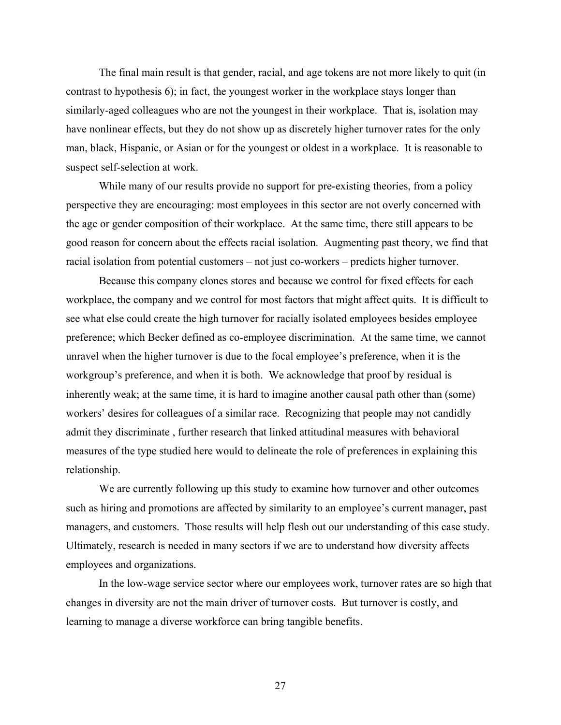The final main result is that gender, racial, and age tokens are not more likely to quit (in contrast to hypothesis 6); in fact, the youngest worker in the workplace stays longer than similarly-aged colleagues who are not the youngest in their workplace. That is, isolation may have nonlinear effects, but they do not show up as discretely higher turnover rates for the only man, black, Hispanic, or Asian or for the youngest or oldest in a workplace. It is reasonable to suspect self-selection at work.

While many of our results provide no support for pre-existing theories, from a policy perspective they are encouraging: most employees in this sector are not overly concerned with the age or gender composition of their workplace. At the same time, there still appears to be good reason for concern about the effects racial isolation. Augmenting past theory, we find that racial isolation from potential customers – not just co-workers – predicts higher turnover.

Because this company clones stores and because we control for fixed effects for each workplace, the company and we control for most factors that might affect quits. It is difficult to see what else could create the high turnover for racially isolated employees besides employee preference; which Becker defined as co-employee discrimination. At the same time, we cannot unravel when the higher turnover is due to the focal employee's preference, when it is the workgroup's preference, and when it is both. We acknowledge that proof by residual is inherently weak; at the same time, it is hard to imagine another causal path other than (some) workers' desires for colleagues of a similar race. Recognizing that people may not candidly admit they discriminate , further research that linked attitudinal measures with behavioral measures of the type studied here would to delineate the role of preferences in explaining this relationship.

 We are currently following up this study to examine how turnover and other outcomes such as hiring and promotions are affected by similarity to an employee's current manager, past managers, and customers. Those results will help flesh out our understanding of this case study. Ultimately, research is needed in many sectors if we are to understand how diversity affects employees and organizations.

 In the low-wage service sector where our employees work, turnover rates are so high that changes in diversity are not the main driver of turnover costs. But turnover is costly, and learning to manage a diverse workforce can bring tangible benefits.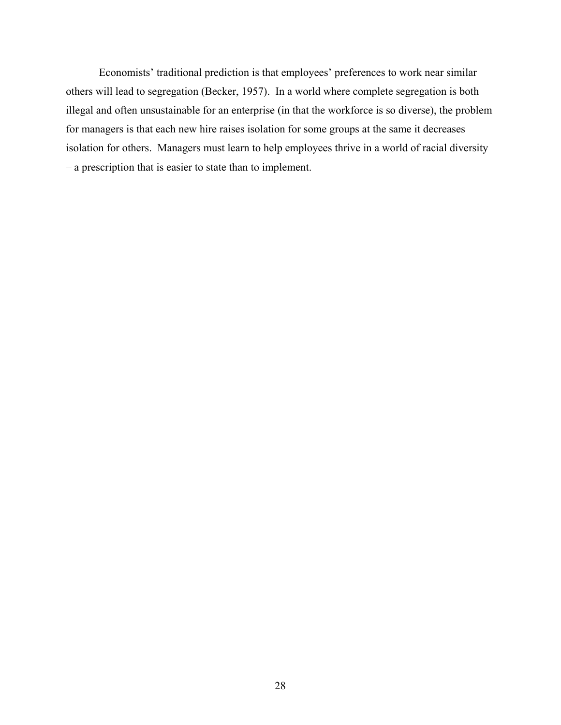Economists' traditional prediction is that employees' preferences to work near similar others will lead to segregation (Becker, 1957). In a world where complete segregation is both illegal and often unsustainable for an enterprise (in that the workforce is so diverse), the problem for managers is that each new hire raises isolation for some groups at the same it decreases isolation for others. Managers must learn to help employees thrive in a world of racial diversity – a prescription that is easier to state than to implement.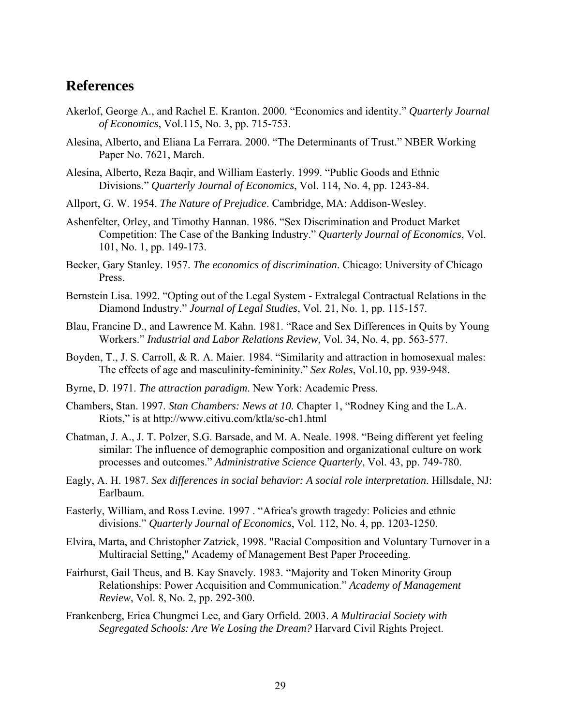## **References**

- Akerlof, George A., and Rachel E. Kranton. 2000. "Economics and identity." *Quarterly Journal of Economics*, Vol.115, No. 3, pp. 715-753.
- Alesina, Alberto, and Eliana La Ferrara. 2000. "The Determinants of Trust." NBER Working Paper No. 7621, March.
- Alesina, Alberto, Reza Baqir, and William Easterly. 1999. "Public Goods and Ethnic Divisions." *Quarterly Journal of Economics*, Vol. 114, No. 4, pp. 1243-84.
- Allport, G. W. 1954. *The Nature of Prejudice*. Cambridge, MA: Addison-Wesley.
- Ashenfelter, Orley, and Timothy Hannan. 1986. "Sex Discrimination and Product Market Competition: The Case of the Banking Industry." *Quarterly Journal of Economics*, Vol. 101, No. 1, pp. 149-173.
- Becker, Gary Stanley. 1957. *The economics of discrimination*. Chicago: University of Chicago Press.
- Bernstein Lisa. 1992. "Opting out of the Legal System Extralegal Contractual Relations in the Diamond Industry." *Journal of Legal Studies*, Vol. 21, No. 1, pp. 115-157.
- Blau, Francine D., and Lawrence M. Kahn. 1981. "Race and Sex Differences in Quits by Young Workers." *Industrial and Labor Relations Review*, Vol. 34, No. 4, pp. 563-577.
- Boyden, T., J. S. Carroll, & R. A. Maier. 1984. "Similarity and attraction in homosexual males: The effects of age and masculinity-femininity." *Sex Roles*, Vol.10, pp. 939-948.
- Byrne, D. 1971. *The attraction paradigm*. New York: Academic Press.
- Chambers, Stan. 1997. *Stan Chambers: News at 10.* Chapter 1, "Rodney King and the L.A. Riots," is at http://www.citivu.com/ktla/sc-ch1.html
- Chatman, J. A., J. T. Polzer, S.G. Barsade, and M. A. Neale. 1998. "Being different yet feeling similar: The influence of demographic composition and organizational culture on work processes and outcomes." *Administrative Science Quarterly*, Vol. 43, pp. 749-780.
- Eagly, A. H. 1987. *Sex differences in social behavior: A social role interpretation*. Hillsdale, NJ: Earlbaum.
- Easterly, William, and Ross Levine. 1997 . "Africa's growth tragedy: Policies and ethnic divisions." *Quarterly Journal of Economics*, Vol. 112, No. 4, pp. 1203-1250.
- Elvira, Marta, and Christopher Zatzick, 1998. "Racial Composition and Voluntary Turnover in a Multiracial Setting," Academy of Management Best Paper Proceeding.
- Fairhurst, Gail Theus, and B. Kay Snavely. 1983. "Majority and Token Minority Group Relationships: Power Acquisition and Communication." *Academy of Management Review*, Vol. 8, No. 2, pp. 292-300.
- Frankenberg, Erica Chungmei Lee, and Gary Orfield. 2003. *A Multiracial Society with Segregated Schools: Are We Losing the Dream?* Harvard Civil Rights Project.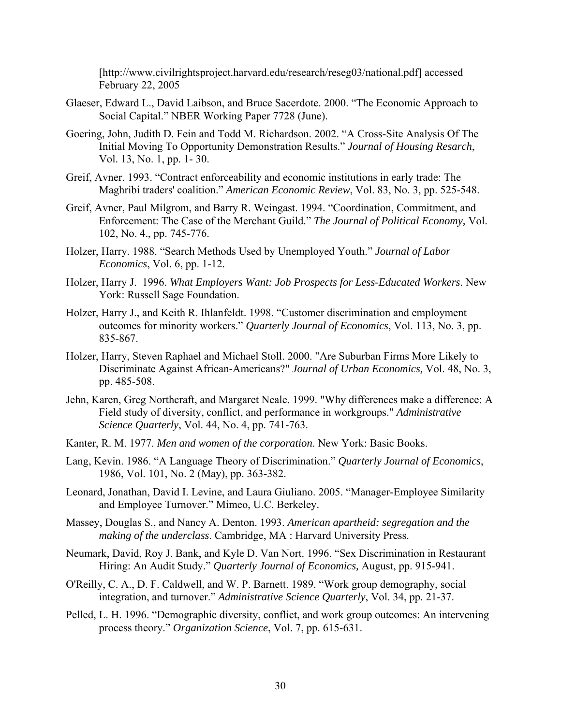[http://www.civilrightsproject.harvard.edu/research/reseg03/national.pdf] accessed February 22, 2005

- Glaeser, Edward L., David Laibson, and Bruce Sacerdote. 2000. "The Economic Approach to Social Capital." NBER Working Paper 7728 (June).
- Goering, John, Judith D. Fein and Todd M. Richardson. 2002. "A Cross-Site Analysis Of The Initial Moving To Opportunity Demonstration Results." *Journal of Housing Resarch*, Vol. 13, No. 1, pp. 1- 30.
- Greif, Avner. 1993. "Contract enforceability and economic institutions in early trade: The Maghribi traders' coalition." *American Economic Review*, Vol. 83, No. 3, pp. 525-548.
- Greif, Avner, Paul Milgrom, and Barry R. Weingast. 1994. "Coordination, Commitment, and Enforcement: The Case of the Merchant Guild." *The Journal of Political Economy,* Vol. 102, No. 4., pp. 745-776.
- Holzer, Harry. 1988. "Search Methods Used by Unemployed Youth." *Journal of Labor Economics*, Vol. 6, pp. 1-12.
- Holzer, Harry J. 1996. *What Employers Want: Job Prospects for Less-Educated Workers*. New York: Russell Sage Foundation.
- Holzer, Harry J., and Keith R. Ihlanfeldt. 1998. "Customer discrimination and employment outcomes for minority workers." *Quarterly Journal of Economics*, Vol. 113, No. 3, pp. 835-867.
- Holzer, Harry, Steven Raphael and Michael Stoll. 2000. "Are Suburban Firms More Likely to Discriminate Against African-Americans?" *Journal of Urban Economics,* Vol. 48, No. 3, pp. 485-508.
- Jehn, Karen, Greg Northcraft, and Margaret Neale. 1999. "Why differences make a difference: A Field study of diversity, conflict, and performance in workgroups." *Administrative Science Quarterly*, Vol. 44, No. 4, pp. 741-763.
- Kanter, R. M. 1977. *Men and women of the corporation*. New York: Basic Books.
- Lang, Kevin. 1986. "A Language Theory of Discrimination." *Quarterly Journal of Economics*, 1986, Vol. 101, No. 2 (May), pp. 363-382.
- Leonard, Jonathan, David I. Levine, and Laura Giuliano. 2005. "Manager-Employee Similarity and Employee Turnover." Mimeo, U.C. Berkeley.
- Massey, Douglas S., and Nancy A. Denton. 1993. *American apartheid: segregation and the making of the underclass*. Cambridge, MA : Harvard University Press.
- Neumark, David, Roy J. Bank, and Kyle D. Van Nort. 1996. "Sex Discrimination in Restaurant Hiring: An Audit Study." *Quarterly Journal of Economics,* August, pp. 915-941.
- O'Reilly, C. A., D. F. Caldwell, and W. P. Barnett. 1989. "Work group demography, social integration, and turnover." *Administrative Science Quarterly*, Vol. 34, pp. 21-37.
- Pelled, L. H. 1996. "Demographic diversity, conflict, and work group outcomes: An intervening process theory." *Organization Science*, Vol. 7, pp. 615-631.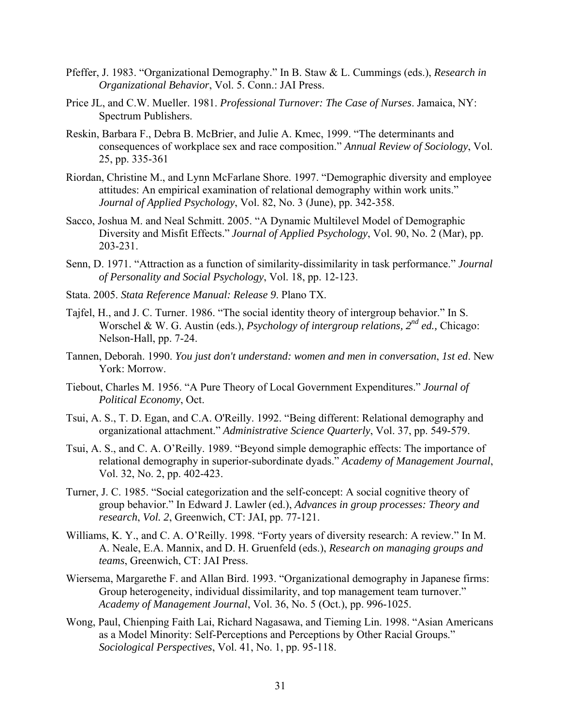- Pfeffer, J. 1983. "Organizational Demography." In B. Staw & L. Cummings (eds.), *Research in Organizational Behavior*, Vol. 5. Conn.: JAI Press.
- Price JL, and C.W. Mueller. 1981. *Professional Turnover: The Case of Nurses*. Jamaica, NY: Spectrum Publishers.
- Reskin, Barbara F., Debra B. McBrier, and Julie A. Kmec, 1999. "The determinants and consequences of workplace sex and race composition." *Annual Review of Sociology*, Vol. 25, pp. 335-361
- Riordan, Christine M., and Lynn McFarlane Shore. 1997. "Demographic diversity and employee attitudes: An empirical examination of relational demography within work units." *Journal of Applied Psychology*, Vol. 82, No. 3 (June), pp. 342-358.
- Sacco, Joshua M. and Neal Schmitt. 2005. "A Dynamic Multilevel Model of Demographic Diversity and Misfit Effects." *Journal of Applied Psychology*, Vol. 90, No. 2 (Mar), pp. 203-231.
- Senn, D. 1971. "Attraction as a function of similarity-dissimilarity in task performance." *Journal of Personality and Social Psychology*, Vol. 18, pp. 12-123.
- Stata. 2005. *Stata Reference Manual: Release 9*. Plano TX.
- Tajfel, H., and J. C. Turner. 1986. "The social identity theory of intergroup behavior." In S. Worschel & W. G. Austin (eds.), *Psychology of intergroup relations, 2nd ed.,* Chicago: Nelson-Hall, pp. 7-24.
- Tannen, Deborah. 1990. *You just don't understand: women and men in conversation*, *1st ed*. New York: Morrow.
- Tiebout, Charles M. 1956. "A Pure Theory of Local Government Expenditures." *Journal of Political Economy*, Oct.
- Tsui, A. S., T. D. Egan, and C.A. O'Reilly. 1992. "Being different: Relational demography and organizational attachment." *Administrative Science Quarterly*, Vol. 37, pp. 549-579.
- Tsui, A. S., and C. A. O'Reilly. 1989. "Beyond simple demographic effects: The importance of relational demography in superior-subordinate dyads." *Academy of Management Journal*, Vol. 32, No. 2, pp. 402-423.
- Turner, J. C. 1985. "Social categorization and the self-concept: A social cognitive theory of group behavior." In Edward J. Lawler (ed.), *Advances in group processes: Theory and research*, *Vol. 2*, Greenwich, CT: JAI, pp. 77-121.
- Williams, K. Y., and C. A. O'Reilly. 1998. "Forty years of diversity research: A review." In M. A. Neale, E.A. Mannix, and D. H. Gruenfeld (eds.), *Research on managing groups and teams*, Greenwich, CT: JAI Press.
- Wiersema, Margarethe F. and Allan Bird. 1993. "Organizational demography in Japanese firms: Group heterogeneity, individual dissimilarity, and top management team turnover." *Academy of Management Journal*, Vol. 36, No. 5 (Oct.), pp. 996-1025.
- Wong, Paul, [Chienping Faith Lai, Richard Nagasawa, and Tieming Lin](http://www.jstor.org/search/BasicResults?Search=Search&Query=aa:%22Paul%20Wong;%20Chienping%20Faith%20Lai;%20Richard%20Nagasawa;%20Tieming%20Lin%22&hp=25&si=1). 1998. "[Asian Americans](http://www.jstor.org/view/07311214/ap050061/05a00060/0?currentResult=07311214%2bap050061%2b05a00060%2b0%2cFFFFFF01&searchUrl=http%3A%2F%2Fwww.jstor.org%2Fsearch%2FBasicResults%3Fhp%3D25%26si%3D1%26Query%3DAsian%2BAmericans%2Bas%2Ba%2Bmodel%2Bminority%253A%2BSelf-perceptions%2Band%2Bperceptions%2Bby%2Bother%2Bracial%2Bgroups)  [as a Model Minority: Self-Perceptions and Perceptions by Other Racial Groups.](http://www.jstor.org/view/07311214/ap050061/05a00060/0?currentResult=07311214%2bap050061%2b05a00060%2b0%2cFFFFFF01&searchUrl=http%3A%2F%2Fwww.jstor.org%2Fsearch%2FBasicResults%3Fhp%3D25%26si%3D1%26Query%3DAsian%2BAmericans%2Bas%2Ba%2Bmodel%2Bminority%253A%2BSelf-perceptions%2Band%2Bperceptions%2Bby%2Bother%2Bracial%2Bgroups)" *[Sociological Perspectives](http://www.jstor.org/browse/07311214)*, [Vol. 41, No. 1](http://www.jstor.org/browse/07311214/ap050061), pp. 95-118.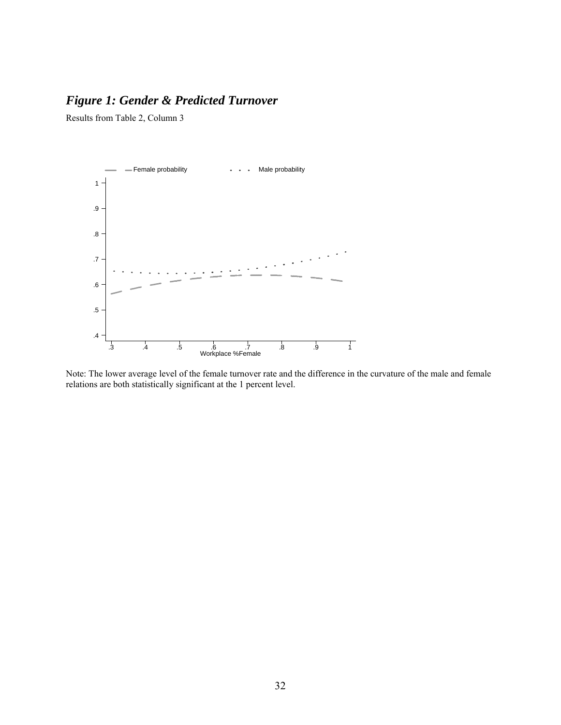## *Figure 1: Gender & Predicted Turnover*

Results from Table 2, Column 3



Note: The lower average level of the female turnover rate and the difference in the curvature of the male and female relations are both statistically significant at the 1 percent level.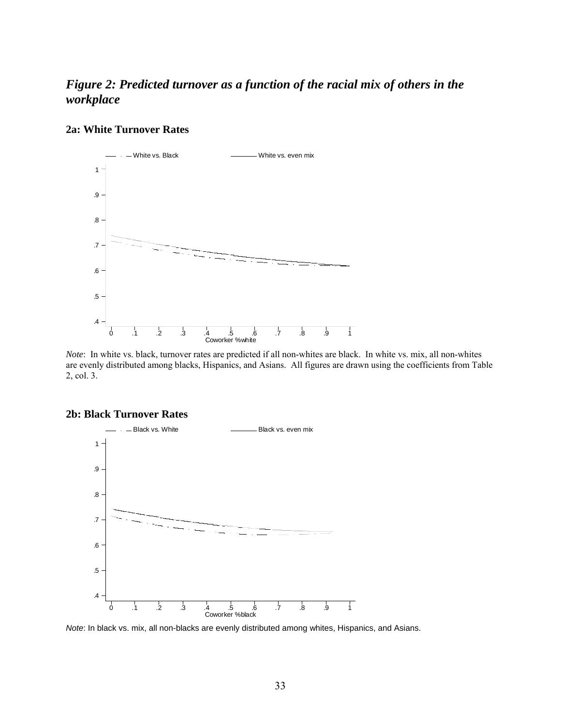## *Figure 2: Predicted turnover as a function of the racial mix of others in the workplace*

#### **2a: White Turnover Rates**



*Note*: In white vs. black, turnover rates are predicted if all non-whites are black. In white vs. mix, all non-whites are evenly distributed among blacks, Hispanics, and Asians. All figures are drawn using the coefficients from Table 2, col. 3.



#### **2b: Black Turnover Rates**

*Note*: In black vs. mix, all non-blacks are evenly distributed among whites, Hispanics, and Asians.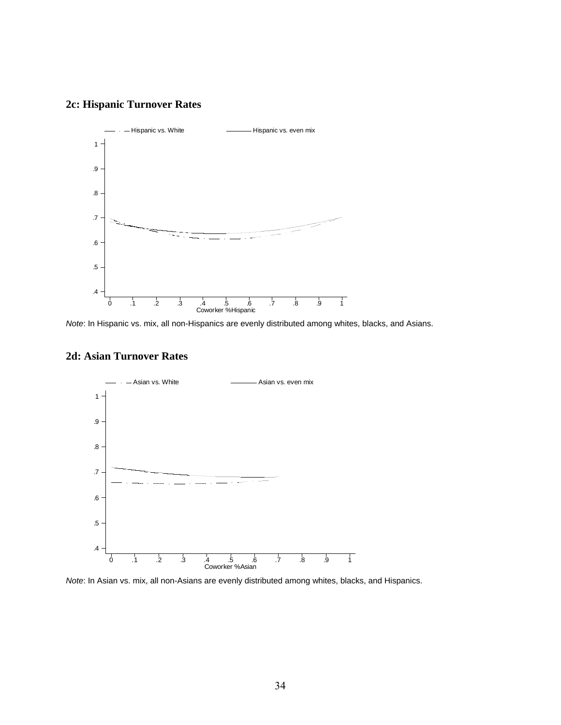### **2c: Hispanic Turnover Rates**



*Note*: In Hispanic vs. mix, all non-Hispanics are evenly distributed among whites, blacks, and Asians.

#### **2d: Asian Turnover Rates**



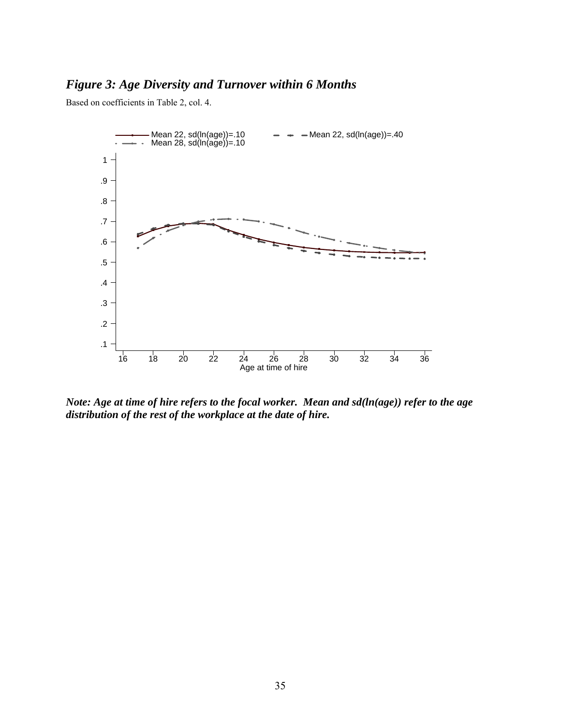## *Figure 3: Age Diversity and Turnover within 6 Months*

Based on coefficients in Table 2, col. 4.



*Note: Age at time of hire refers to the focal worker. Mean and sd(ln(age)) refer to the age distribution of the rest of the workplace at the date of hire.*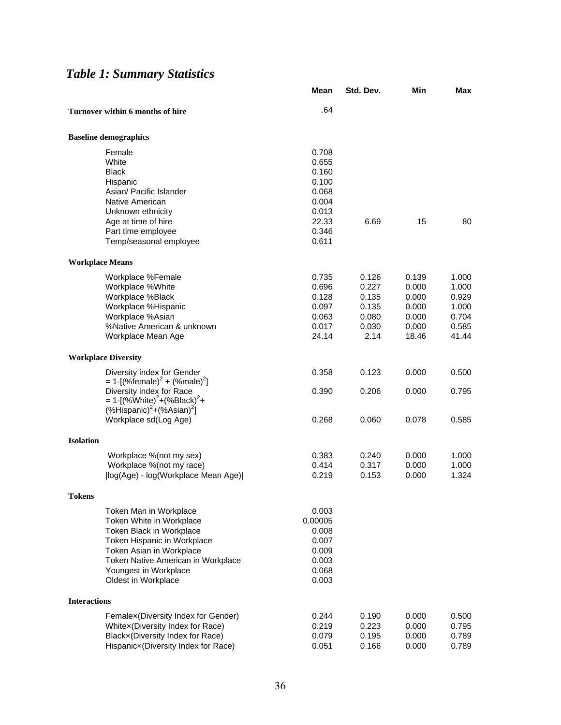# *Table 1: Summary Statistics*

|                        |                                                                                  | Mean           | Std. Dev. | Min   | Max   |
|------------------------|----------------------------------------------------------------------------------|----------------|-----------|-------|-------|
|                        | Turnover within 6 months of hire                                                 | .64            |           |       |       |
|                        | <b>Baseline demographics</b>                                                     |                |           |       |       |
|                        | Female                                                                           | 0.708          |           |       |       |
|                        | White                                                                            | 0.655          |           |       |       |
|                        | <b>Black</b>                                                                     | 0.160          |           |       |       |
|                        | Hispanic                                                                         | 0.100          |           |       |       |
|                        | Asian/ Pacific Islander                                                          | 0.068          |           |       |       |
|                        | Native American                                                                  | 0.004          |           |       |       |
|                        | Unknown ethnicity                                                                | 0.013          |           |       |       |
|                        | Age at time of hire                                                              | 22.33<br>0.346 | 6.69      | 15    | 80    |
|                        | Part time employee<br>Temp/seasonal employee                                     | 0.611          |           |       |       |
| <b>Workplace Means</b> |                                                                                  |                |           |       |       |
|                        | Workplace %Female                                                                | 0.735          | 0.126     | 0.139 | 1.000 |
|                        | Workplace %White                                                                 | 0.696          | 0.227     | 0.000 | 1.000 |
|                        | Workplace %Black                                                                 | 0.128          | 0.135     | 0.000 | 0.929 |
|                        | Workplace %Hispanic                                                              | 0.097          | 0.135     | 0.000 | 1.000 |
|                        | Workplace %Asian                                                                 | 0.063          | 0.080     | 0.000 | 0.704 |
|                        | %Native American & unknown                                                       | 0.017          | 0.030     | 0.000 | 0.585 |
|                        | Workplace Mean Age                                                               | 24.14          | 2.14      | 18.46 | 41.44 |
|                        | <b>Workplace Diversity</b>                                                       |                |           |       |       |
|                        | Diversity index for Gender                                                       | 0.358          | 0.123     | 0.000 | 0.500 |
|                        | = 1-[(%female) <sup>2</sup> + (%male) <sup>2</sup> ]<br>Diversity index for Race |                |           |       |       |
|                        | = 1-[(%White) <sup>2</sup> +(%Black) <sup>2</sup> +                              | 0.390          | 0.206     | 0.000 | 0.795 |
|                        | $(\%$ Hispanic) <sup>2</sup> +(%Asian) <sup>2</sup> ]                            |                |           |       |       |
|                        | Workplace sd(Log Age)                                                            | 0.268          | 0.060     | 0.078 | 0.585 |
| <b>Isolation</b>       |                                                                                  |                |           |       |       |
|                        | Workplace %(not my sex)                                                          | 0.383          | 0.240     | 0.000 | 1.000 |
|                        | Workplace %(not my race)                                                         | 0.414          | 0.317     | 0.000 | 1.000 |
|                        | (log(Age) - log(Workplace Mean Age)                                              | 0.219          | 0.153     | 0.000 | 1.324 |
| Tokens                 |                                                                                  |                |           |       |       |
|                        | Token Man in Workplace                                                           | 0.003          |           |       |       |
|                        | Token White in Workplace                                                         | 0.00005        |           |       |       |
|                        | Token Black in Workplace                                                         | 0.008          |           |       |       |
|                        | Token Hispanic in Workplace                                                      | 0.007          |           |       |       |
|                        | Token Asian in Workplace                                                         | 0.009          |           |       |       |
|                        | Token Native American in Workplace                                               | 0.003          |           |       |       |
|                        | Youngest in Workplace<br>Oldest in Workplace                                     | 0.068<br>0.003 |           |       |       |
| <b>Interactions</b>    |                                                                                  |                |           |       |       |
|                        | Femalex (Diversity Index for Gender)                                             | 0.244          | 0.190     | 0.000 | 0.500 |
|                        | Whitex(Diversity Index for Race)                                                 | 0.219          | 0.223     | 0.000 | 0.795 |
|                        | Blackx(Diversity Index for Race)                                                 | 0.079          | 0.195     | 0.000 | 0.789 |
|                        | Hispanicx(Diversity Index for Race)                                              | 0.051          | 0.166     | 0.000 | 0.789 |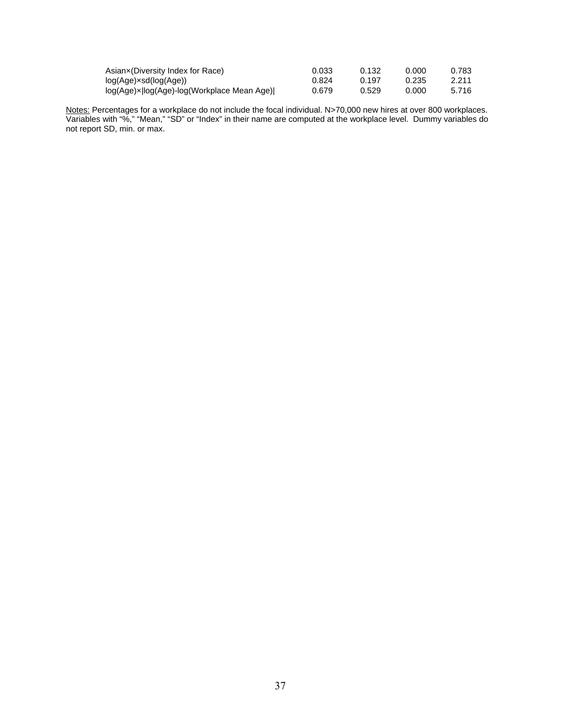| Asianx(Diversity Index for Race)             | 0.033 | 0.132 | 0.000 | 0.783 |
|----------------------------------------------|-------|-------|-------|-------|
| log(Age)×sd(log(Age))_                       | 0.824 | 0.197 | 0.235 | 2.211 |
| log(Age)× log(Age)-log(Workplace Mean Age) _ | 0.679 | 0.529 | 0.000 | 5.716 |

Notes: Percentages for a workplace do not include the focal individual. N>70,000 new hires at over 800 workplaces. Variables with "%," "Mean," "SD" or "Index" in their name are computed at the workplace level. Dummy variables do not report SD, min. or max.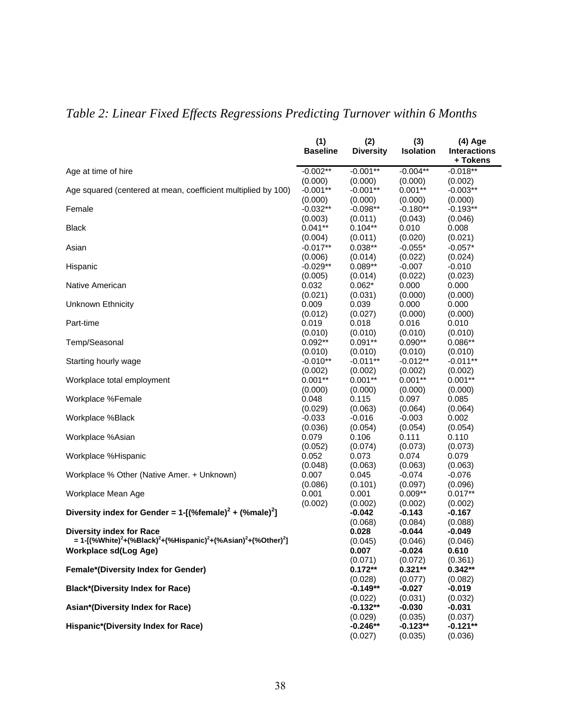| + Tokens<br>$-0.002**$<br>$-0.001**$<br>$-0.004**$<br>$-0.018**$<br>(0.000)<br>(0.000)<br>(0.000)<br>(0.002)<br>Age squared (centered at mean, coefficient multiplied by 100)<br>$-0.001**$<br>$-0.001**$<br>$0.001**$<br>$-0.003**$<br>(0.000)<br>(0.000)<br>(0.000)<br>(0.000)<br>$-0.032**$<br>$-0.098**$<br>$-0.180**$<br>$-0.193**$<br>Female<br>(0.003)<br>(0.011)<br>(0.043)<br>(0.046)<br>$0.041**$<br>$0.104**$<br>0.010<br>0.008<br><b>Black</b><br>(0.004)<br>(0.020)<br>(0.021)<br>(0.011)<br>$-0.017**$<br>$0.038**$<br>$-0.055*$<br>$-0.057*$<br>Asian<br>(0.022)<br>(0.024)<br>(0.006)<br>(0.014)<br>$-0.029**$<br>$0.089**$<br>$-0.007$<br>$-0.010$<br>Hispanic<br>(0.022)<br>(0.005)<br>(0.023)<br>(0.014)<br>0.032<br>0.000<br>0.000<br>$0.062*$<br>(0.021)<br>(0.000)<br>(0.000)<br>(0.031)<br>0.009<br>0.039<br>0.000<br>0.000<br>(0.012)<br>(0.027)<br>(0.000)<br>(0.000)<br>Part-time<br>0.019<br>0.018<br>0.016<br>0.010<br>(0.010)<br>(0.010)<br>(0.010)<br>(0.010)<br>Temp/Seasonal<br>$0.092**$<br>$0.091**$<br>$0.090**$<br>$0.086**$<br>(0.010)<br>(0.010)<br>(0.010)<br>(0.010)<br>$-0.010**$<br>$-0.011**$<br>$-0.012**$<br>$-0.011**$<br>Starting hourly wage<br>(0.002)<br>(0.002)<br>(0.002)<br>(0.002)<br>$0.001**$<br>$0.001**$<br>$0.001**$<br>$0.001**$<br>Workplace total employment<br>(0.000)<br>(0.000)<br>(0.000)<br>(0.000)<br>Workplace %Female<br>0.048<br>0.115<br>0.097<br>0.085<br>(0.029)<br>(0.063)<br>(0.064)<br>(0.064)<br>$-0.003$<br>Workplace %Black<br>$-0.033$<br>$-0.016$<br>0.002<br>(0.036)<br>(0.054)<br>(0.054)<br>(0.054)<br>0.106<br>0.111<br>0.110<br>0.079<br>(0.052)<br>(0.074)<br>(0.073)<br>(0.073)<br>Workplace %Hispanic<br>0.052<br>0.073<br>0.074<br>0.079<br>(0.048)<br>(0.063)<br>(0.063)<br>(0.063)<br>$-0.074$<br>$-0.076$<br>Workplace % Other (Native Amer. + Unknown)<br>0.007<br>0.045<br>(0.086)<br>(0.101)<br>(0.097)<br>(0.096)<br>Workplace Mean Age<br>$0.009**$<br>$0.017**$<br>0.001<br>0.001<br>(0.002)<br>(0.002)<br>(0.002)<br>(0.002)<br>Diversity index for Gender = $1 - [(%$ female $)^2 + (%$ male $)^2]$<br>$-0.143$<br>$-0.042$<br>$-0.167$<br>(0.068)<br>(0.084)<br>(0.088)<br><b>Diversity index for Race</b><br>0.028<br>$-0.044$<br>$-0.049$<br>= 1-[(%White) <sup>2</sup> +(%Black) <sup>2</sup> +(%Hispanic) <sup>2</sup> +(%Asian) <sup>2</sup> +(%Other) <sup>2</sup> ]<br>(0.046)<br>(0.045)<br>(0.046)<br>0.007<br>$-0.024$<br>0.610<br>(0.071)<br>(0.072)<br>(0.361)<br>$0.321**$<br>$0.172**$<br>$0.342**$<br>(0.028)<br>(0.077)<br>(0.082)<br><b>Black*(Diversity Index for Race)</b><br>$-0.149**$<br>$-0.027$<br>$-0.019$<br>(0.031)<br>(0.022)<br>(0.032)<br>Asian*(Diversity Index for Race)<br>$-0.132**$<br>$-0.030$<br>$-0.031$ |                                            | (1)             | (2)              | (3)              | (4) Age             |
|-------------------------------------------------------------------------------------------------------------------------------------------------------------------------------------------------------------------------------------------------------------------------------------------------------------------------------------------------------------------------------------------------------------------------------------------------------------------------------------------------------------------------------------------------------------------------------------------------------------------------------------------------------------------------------------------------------------------------------------------------------------------------------------------------------------------------------------------------------------------------------------------------------------------------------------------------------------------------------------------------------------------------------------------------------------------------------------------------------------------------------------------------------------------------------------------------------------------------------------------------------------------------------------------------------------------------------------------------------------------------------------------------------------------------------------------------------------------------------------------------------------------------------------------------------------------------------------------------------------------------------------------------------------------------------------------------------------------------------------------------------------------------------------------------------------------------------------------------------------------------------------------------------------------------------------------------------------------------------------------------------------------------------------------------------------------------------------------------------------------------------------------------------------------------------------------------------------------------------------------------------------------------------------------------------------------------------------------------------------------------------------------------------------------------------------------------------------------------------------------------------------------------------------------------------------------------------------------------------------------------------------------------------------------------------------------------------------------------------------------------------|--------------------------------------------|-----------------|------------------|------------------|---------------------|
|                                                                                                                                                                                                                                                                                                                                                                                                                                                                                                                                                                                                                                                                                                                                                                                                                                                                                                                                                                                                                                                                                                                                                                                                                                                                                                                                                                                                                                                                                                                                                                                                                                                                                                                                                                                                                                                                                                                                                                                                                                                                                                                                                                                                                                                                                                                                                                                                                                                                                                                                                                                                                                                                                                                                                       |                                            | <b>Baseline</b> | <b>Diversity</b> | <b>Isolation</b> | <b>Interactions</b> |
|                                                                                                                                                                                                                                                                                                                                                                                                                                                                                                                                                                                                                                                                                                                                                                                                                                                                                                                                                                                                                                                                                                                                                                                                                                                                                                                                                                                                                                                                                                                                                                                                                                                                                                                                                                                                                                                                                                                                                                                                                                                                                                                                                                                                                                                                                                                                                                                                                                                                                                                                                                                                                                                                                                                                                       | Age at time of hire                        |                 |                  |                  |                     |
|                                                                                                                                                                                                                                                                                                                                                                                                                                                                                                                                                                                                                                                                                                                                                                                                                                                                                                                                                                                                                                                                                                                                                                                                                                                                                                                                                                                                                                                                                                                                                                                                                                                                                                                                                                                                                                                                                                                                                                                                                                                                                                                                                                                                                                                                                                                                                                                                                                                                                                                                                                                                                                                                                                                                                       |                                            |                 |                  |                  |                     |
|                                                                                                                                                                                                                                                                                                                                                                                                                                                                                                                                                                                                                                                                                                                                                                                                                                                                                                                                                                                                                                                                                                                                                                                                                                                                                                                                                                                                                                                                                                                                                                                                                                                                                                                                                                                                                                                                                                                                                                                                                                                                                                                                                                                                                                                                                                                                                                                                                                                                                                                                                                                                                                                                                                                                                       |                                            |                 |                  |                  |                     |
|                                                                                                                                                                                                                                                                                                                                                                                                                                                                                                                                                                                                                                                                                                                                                                                                                                                                                                                                                                                                                                                                                                                                                                                                                                                                                                                                                                                                                                                                                                                                                                                                                                                                                                                                                                                                                                                                                                                                                                                                                                                                                                                                                                                                                                                                                                                                                                                                                                                                                                                                                                                                                                                                                                                                                       |                                            |                 |                  |                  |                     |
|                                                                                                                                                                                                                                                                                                                                                                                                                                                                                                                                                                                                                                                                                                                                                                                                                                                                                                                                                                                                                                                                                                                                                                                                                                                                                                                                                                                                                                                                                                                                                                                                                                                                                                                                                                                                                                                                                                                                                                                                                                                                                                                                                                                                                                                                                                                                                                                                                                                                                                                                                                                                                                                                                                                                                       |                                            |                 |                  |                  |                     |
|                                                                                                                                                                                                                                                                                                                                                                                                                                                                                                                                                                                                                                                                                                                                                                                                                                                                                                                                                                                                                                                                                                                                                                                                                                                                                                                                                                                                                                                                                                                                                                                                                                                                                                                                                                                                                                                                                                                                                                                                                                                                                                                                                                                                                                                                                                                                                                                                                                                                                                                                                                                                                                                                                                                                                       |                                            |                 |                  |                  |                     |
|                                                                                                                                                                                                                                                                                                                                                                                                                                                                                                                                                                                                                                                                                                                                                                                                                                                                                                                                                                                                                                                                                                                                                                                                                                                                                                                                                                                                                                                                                                                                                                                                                                                                                                                                                                                                                                                                                                                                                                                                                                                                                                                                                                                                                                                                                                                                                                                                                                                                                                                                                                                                                                                                                                                                                       |                                            |                 |                  |                  |                     |
|                                                                                                                                                                                                                                                                                                                                                                                                                                                                                                                                                                                                                                                                                                                                                                                                                                                                                                                                                                                                                                                                                                                                                                                                                                                                                                                                                                                                                                                                                                                                                                                                                                                                                                                                                                                                                                                                                                                                                                                                                                                                                                                                                                                                                                                                                                                                                                                                                                                                                                                                                                                                                                                                                                                                                       |                                            |                 |                  |                  |                     |
|                                                                                                                                                                                                                                                                                                                                                                                                                                                                                                                                                                                                                                                                                                                                                                                                                                                                                                                                                                                                                                                                                                                                                                                                                                                                                                                                                                                                                                                                                                                                                                                                                                                                                                                                                                                                                                                                                                                                                                                                                                                                                                                                                                                                                                                                                                                                                                                                                                                                                                                                                                                                                                                                                                                                                       |                                            |                 |                  |                  |                     |
|                                                                                                                                                                                                                                                                                                                                                                                                                                                                                                                                                                                                                                                                                                                                                                                                                                                                                                                                                                                                                                                                                                                                                                                                                                                                                                                                                                                                                                                                                                                                                                                                                                                                                                                                                                                                                                                                                                                                                                                                                                                                                                                                                                                                                                                                                                                                                                                                                                                                                                                                                                                                                                                                                                                                                       |                                            |                 |                  |                  |                     |
|                                                                                                                                                                                                                                                                                                                                                                                                                                                                                                                                                                                                                                                                                                                                                                                                                                                                                                                                                                                                                                                                                                                                                                                                                                                                                                                                                                                                                                                                                                                                                                                                                                                                                                                                                                                                                                                                                                                                                                                                                                                                                                                                                                                                                                                                                                                                                                                                                                                                                                                                                                                                                                                                                                                                                       |                                            |                 |                  |                  |                     |
|                                                                                                                                                                                                                                                                                                                                                                                                                                                                                                                                                                                                                                                                                                                                                                                                                                                                                                                                                                                                                                                                                                                                                                                                                                                                                                                                                                                                                                                                                                                                                                                                                                                                                                                                                                                                                                                                                                                                                                                                                                                                                                                                                                                                                                                                                                                                                                                                                                                                                                                                                                                                                                                                                                                                                       | Native American                            |                 |                  |                  |                     |
|                                                                                                                                                                                                                                                                                                                                                                                                                                                                                                                                                                                                                                                                                                                                                                                                                                                                                                                                                                                                                                                                                                                                                                                                                                                                                                                                                                                                                                                                                                                                                                                                                                                                                                                                                                                                                                                                                                                                                                                                                                                                                                                                                                                                                                                                                                                                                                                                                                                                                                                                                                                                                                                                                                                                                       |                                            |                 |                  |                  |                     |
|                                                                                                                                                                                                                                                                                                                                                                                                                                                                                                                                                                                                                                                                                                                                                                                                                                                                                                                                                                                                                                                                                                                                                                                                                                                                                                                                                                                                                                                                                                                                                                                                                                                                                                                                                                                                                                                                                                                                                                                                                                                                                                                                                                                                                                                                                                                                                                                                                                                                                                                                                                                                                                                                                                                                                       | <b>Unknown Ethnicity</b>                   |                 |                  |                  |                     |
|                                                                                                                                                                                                                                                                                                                                                                                                                                                                                                                                                                                                                                                                                                                                                                                                                                                                                                                                                                                                                                                                                                                                                                                                                                                                                                                                                                                                                                                                                                                                                                                                                                                                                                                                                                                                                                                                                                                                                                                                                                                                                                                                                                                                                                                                                                                                                                                                                                                                                                                                                                                                                                                                                                                                                       |                                            |                 |                  |                  |                     |
|                                                                                                                                                                                                                                                                                                                                                                                                                                                                                                                                                                                                                                                                                                                                                                                                                                                                                                                                                                                                                                                                                                                                                                                                                                                                                                                                                                                                                                                                                                                                                                                                                                                                                                                                                                                                                                                                                                                                                                                                                                                                                                                                                                                                                                                                                                                                                                                                                                                                                                                                                                                                                                                                                                                                                       |                                            |                 |                  |                  |                     |
|                                                                                                                                                                                                                                                                                                                                                                                                                                                                                                                                                                                                                                                                                                                                                                                                                                                                                                                                                                                                                                                                                                                                                                                                                                                                                                                                                                                                                                                                                                                                                                                                                                                                                                                                                                                                                                                                                                                                                                                                                                                                                                                                                                                                                                                                                                                                                                                                                                                                                                                                                                                                                                                                                                                                                       |                                            |                 |                  |                  |                     |
|                                                                                                                                                                                                                                                                                                                                                                                                                                                                                                                                                                                                                                                                                                                                                                                                                                                                                                                                                                                                                                                                                                                                                                                                                                                                                                                                                                                                                                                                                                                                                                                                                                                                                                                                                                                                                                                                                                                                                                                                                                                                                                                                                                                                                                                                                                                                                                                                                                                                                                                                                                                                                                                                                                                                                       |                                            |                 |                  |                  |                     |
|                                                                                                                                                                                                                                                                                                                                                                                                                                                                                                                                                                                                                                                                                                                                                                                                                                                                                                                                                                                                                                                                                                                                                                                                                                                                                                                                                                                                                                                                                                                                                                                                                                                                                                                                                                                                                                                                                                                                                                                                                                                                                                                                                                                                                                                                                                                                                                                                                                                                                                                                                                                                                                                                                                                                                       |                                            |                 |                  |                  |                     |
|                                                                                                                                                                                                                                                                                                                                                                                                                                                                                                                                                                                                                                                                                                                                                                                                                                                                                                                                                                                                                                                                                                                                                                                                                                                                                                                                                                                                                                                                                                                                                                                                                                                                                                                                                                                                                                                                                                                                                                                                                                                                                                                                                                                                                                                                                                                                                                                                                                                                                                                                                                                                                                                                                                                                                       |                                            |                 |                  |                  |                     |
|                                                                                                                                                                                                                                                                                                                                                                                                                                                                                                                                                                                                                                                                                                                                                                                                                                                                                                                                                                                                                                                                                                                                                                                                                                                                                                                                                                                                                                                                                                                                                                                                                                                                                                                                                                                                                                                                                                                                                                                                                                                                                                                                                                                                                                                                                                                                                                                                                                                                                                                                                                                                                                                                                                                                                       |                                            |                 |                  |                  |                     |
|                                                                                                                                                                                                                                                                                                                                                                                                                                                                                                                                                                                                                                                                                                                                                                                                                                                                                                                                                                                                                                                                                                                                                                                                                                                                                                                                                                                                                                                                                                                                                                                                                                                                                                                                                                                                                                                                                                                                                                                                                                                                                                                                                                                                                                                                                                                                                                                                                                                                                                                                                                                                                                                                                                                                                       |                                            |                 |                  |                  |                     |
|                                                                                                                                                                                                                                                                                                                                                                                                                                                                                                                                                                                                                                                                                                                                                                                                                                                                                                                                                                                                                                                                                                                                                                                                                                                                                                                                                                                                                                                                                                                                                                                                                                                                                                                                                                                                                                                                                                                                                                                                                                                                                                                                                                                                                                                                                                                                                                                                                                                                                                                                                                                                                                                                                                                                                       |                                            |                 |                  |                  |                     |
|                                                                                                                                                                                                                                                                                                                                                                                                                                                                                                                                                                                                                                                                                                                                                                                                                                                                                                                                                                                                                                                                                                                                                                                                                                                                                                                                                                                                                                                                                                                                                                                                                                                                                                                                                                                                                                                                                                                                                                                                                                                                                                                                                                                                                                                                                                                                                                                                                                                                                                                                                                                                                                                                                                                                                       |                                            |                 |                  |                  |                     |
|                                                                                                                                                                                                                                                                                                                                                                                                                                                                                                                                                                                                                                                                                                                                                                                                                                                                                                                                                                                                                                                                                                                                                                                                                                                                                                                                                                                                                                                                                                                                                                                                                                                                                                                                                                                                                                                                                                                                                                                                                                                                                                                                                                                                                                                                                                                                                                                                                                                                                                                                                                                                                                                                                                                                                       |                                            |                 |                  |                  |                     |
|                                                                                                                                                                                                                                                                                                                                                                                                                                                                                                                                                                                                                                                                                                                                                                                                                                                                                                                                                                                                                                                                                                                                                                                                                                                                                                                                                                                                                                                                                                                                                                                                                                                                                                                                                                                                                                                                                                                                                                                                                                                                                                                                                                                                                                                                                                                                                                                                                                                                                                                                                                                                                                                                                                                                                       |                                            |                 |                  |                  |                     |
|                                                                                                                                                                                                                                                                                                                                                                                                                                                                                                                                                                                                                                                                                                                                                                                                                                                                                                                                                                                                                                                                                                                                                                                                                                                                                                                                                                                                                                                                                                                                                                                                                                                                                                                                                                                                                                                                                                                                                                                                                                                                                                                                                                                                                                                                                                                                                                                                                                                                                                                                                                                                                                                                                                                                                       | Workplace %Asian                           |                 |                  |                  |                     |
|                                                                                                                                                                                                                                                                                                                                                                                                                                                                                                                                                                                                                                                                                                                                                                                                                                                                                                                                                                                                                                                                                                                                                                                                                                                                                                                                                                                                                                                                                                                                                                                                                                                                                                                                                                                                                                                                                                                                                                                                                                                                                                                                                                                                                                                                                                                                                                                                                                                                                                                                                                                                                                                                                                                                                       |                                            |                 |                  |                  |                     |
|                                                                                                                                                                                                                                                                                                                                                                                                                                                                                                                                                                                                                                                                                                                                                                                                                                                                                                                                                                                                                                                                                                                                                                                                                                                                                                                                                                                                                                                                                                                                                                                                                                                                                                                                                                                                                                                                                                                                                                                                                                                                                                                                                                                                                                                                                                                                                                                                                                                                                                                                                                                                                                                                                                                                                       |                                            |                 |                  |                  |                     |
|                                                                                                                                                                                                                                                                                                                                                                                                                                                                                                                                                                                                                                                                                                                                                                                                                                                                                                                                                                                                                                                                                                                                                                                                                                                                                                                                                                                                                                                                                                                                                                                                                                                                                                                                                                                                                                                                                                                                                                                                                                                                                                                                                                                                                                                                                                                                                                                                                                                                                                                                                                                                                                                                                                                                                       |                                            |                 |                  |                  |                     |
|                                                                                                                                                                                                                                                                                                                                                                                                                                                                                                                                                                                                                                                                                                                                                                                                                                                                                                                                                                                                                                                                                                                                                                                                                                                                                                                                                                                                                                                                                                                                                                                                                                                                                                                                                                                                                                                                                                                                                                                                                                                                                                                                                                                                                                                                                                                                                                                                                                                                                                                                                                                                                                                                                                                                                       |                                            |                 |                  |                  |                     |
|                                                                                                                                                                                                                                                                                                                                                                                                                                                                                                                                                                                                                                                                                                                                                                                                                                                                                                                                                                                                                                                                                                                                                                                                                                                                                                                                                                                                                                                                                                                                                                                                                                                                                                                                                                                                                                                                                                                                                                                                                                                                                                                                                                                                                                                                                                                                                                                                                                                                                                                                                                                                                                                                                                                                                       |                                            |                 |                  |                  |                     |
|                                                                                                                                                                                                                                                                                                                                                                                                                                                                                                                                                                                                                                                                                                                                                                                                                                                                                                                                                                                                                                                                                                                                                                                                                                                                                                                                                                                                                                                                                                                                                                                                                                                                                                                                                                                                                                                                                                                                                                                                                                                                                                                                                                                                                                                                                                                                                                                                                                                                                                                                                                                                                                                                                                                                                       |                                            |                 |                  |                  |                     |
|                                                                                                                                                                                                                                                                                                                                                                                                                                                                                                                                                                                                                                                                                                                                                                                                                                                                                                                                                                                                                                                                                                                                                                                                                                                                                                                                                                                                                                                                                                                                                                                                                                                                                                                                                                                                                                                                                                                                                                                                                                                                                                                                                                                                                                                                                                                                                                                                                                                                                                                                                                                                                                                                                                                                                       |                                            |                 |                  |                  |                     |
|                                                                                                                                                                                                                                                                                                                                                                                                                                                                                                                                                                                                                                                                                                                                                                                                                                                                                                                                                                                                                                                                                                                                                                                                                                                                                                                                                                                                                                                                                                                                                                                                                                                                                                                                                                                                                                                                                                                                                                                                                                                                                                                                                                                                                                                                                                                                                                                                                                                                                                                                                                                                                                                                                                                                                       |                                            |                 |                  |                  |                     |
|                                                                                                                                                                                                                                                                                                                                                                                                                                                                                                                                                                                                                                                                                                                                                                                                                                                                                                                                                                                                                                                                                                                                                                                                                                                                                                                                                                                                                                                                                                                                                                                                                                                                                                                                                                                                                                                                                                                                                                                                                                                                                                                                                                                                                                                                                                                                                                                                                                                                                                                                                                                                                                                                                                                                                       |                                            |                 |                  |                  |                     |
|                                                                                                                                                                                                                                                                                                                                                                                                                                                                                                                                                                                                                                                                                                                                                                                                                                                                                                                                                                                                                                                                                                                                                                                                                                                                                                                                                                                                                                                                                                                                                                                                                                                                                                                                                                                                                                                                                                                                                                                                                                                                                                                                                                                                                                                                                                                                                                                                                                                                                                                                                                                                                                                                                                                                                       |                                            |                 |                  |                  |                     |
|                                                                                                                                                                                                                                                                                                                                                                                                                                                                                                                                                                                                                                                                                                                                                                                                                                                                                                                                                                                                                                                                                                                                                                                                                                                                                                                                                                                                                                                                                                                                                                                                                                                                                                                                                                                                                                                                                                                                                                                                                                                                                                                                                                                                                                                                                                                                                                                                                                                                                                                                                                                                                                                                                                                                                       | <b>Workplace sd(Log Age)</b>               |                 |                  |                  |                     |
|                                                                                                                                                                                                                                                                                                                                                                                                                                                                                                                                                                                                                                                                                                                                                                                                                                                                                                                                                                                                                                                                                                                                                                                                                                                                                                                                                                                                                                                                                                                                                                                                                                                                                                                                                                                                                                                                                                                                                                                                                                                                                                                                                                                                                                                                                                                                                                                                                                                                                                                                                                                                                                                                                                                                                       |                                            |                 |                  |                  |                     |
|                                                                                                                                                                                                                                                                                                                                                                                                                                                                                                                                                                                                                                                                                                                                                                                                                                                                                                                                                                                                                                                                                                                                                                                                                                                                                                                                                                                                                                                                                                                                                                                                                                                                                                                                                                                                                                                                                                                                                                                                                                                                                                                                                                                                                                                                                                                                                                                                                                                                                                                                                                                                                                                                                                                                                       | Female*(Diversity Index for Gender)        |                 |                  |                  |                     |
|                                                                                                                                                                                                                                                                                                                                                                                                                                                                                                                                                                                                                                                                                                                                                                                                                                                                                                                                                                                                                                                                                                                                                                                                                                                                                                                                                                                                                                                                                                                                                                                                                                                                                                                                                                                                                                                                                                                                                                                                                                                                                                                                                                                                                                                                                                                                                                                                                                                                                                                                                                                                                                                                                                                                                       |                                            |                 |                  |                  |                     |
|                                                                                                                                                                                                                                                                                                                                                                                                                                                                                                                                                                                                                                                                                                                                                                                                                                                                                                                                                                                                                                                                                                                                                                                                                                                                                                                                                                                                                                                                                                                                                                                                                                                                                                                                                                                                                                                                                                                                                                                                                                                                                                                                                                                                                                                                                                                                                                                                                                                                                                                                                                                                                                                                                                                                                       |                                            |                 |                  |                  |                     |
|                                                                                                                                                                                                                                                                                                                                                                                                                                                                                                                                                                                                                                                                                                                                                                                                                                                                                                                                                                                                                                                                                                                                                                                                                                                                                                                                                                                                                                                                                                                                                                                                                                                                                                                                                                                                                                                                                                                                                                                                                                                                                                                                                                                                                                                                                                                                                                                                                                                                                                                                                                                                                                                                                                                                                       |                                            |                 |                  |                  |                     |
|                                                                                                                                                                                                                                                                                                                                                                                                                                                                                                                                                                                                                                                                                                                                                                                                                                                                                                                                                                                                                                                                                                                                                                                                                                                                                                                                                                                                                                                                                                                                                                                                                                                                                                                                                                                                                                                                                                                                                                                                                                                                                                                                                                                                                                                                                                                                                                                                                                                                                                                                                                                                                                                                                                                                                       |                                            |                 |                  |                  |                     |
| (0.035)<br>(0.037)<br>(0.029)<br>$-0.121**$<br>$-0.246**$<br>$-0.123**$                                                                                                                                                                                                                                                                                                                                                                                                                                                                                                                                                                                                                                                                                                                                                                                                                                                                                                                                                                                                                                                                                                                                                                                                                                                                                                                                                                                                                                                                                                                                                                                                                                                                                                                                                                                                                                                                                                                                                                                                                                                                                                                                                                                                                                                                                                                                                                                                                                                                                                                                                                                                                                                                               | <b>Hispanic*(Diversity Index for Race)</b> |                 |                  |                  |                     |
| (0.027)<br>(0.035)<br>(0.036)                                                                                                                                                                                                                                                                                                                                                                                                                                                                                                                                                                                                                                                                                                                                                                                                                                                                                                                                                                                                                                                                                                                                                                                                                                                                                                                                                                                                                                                                                                                                                                                                                                                                                                                                                                                                                                                                                                                                                                                                                                                                                                                                                                                                                                                                                                                                                                                                                                                                                                                                                                                                                                                                                                                         |                                            |                 |                  |                  |                     |

# *Table 2: Linear Fixed Effects Regressions Predicting Turnover within 6 Months*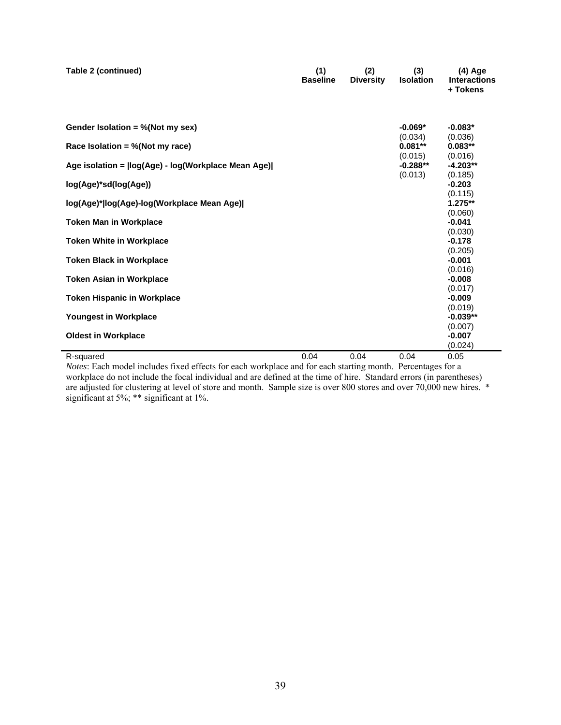| Table 2 (continued)                                   | (1)<br><b>Baseline</b> | (2)<br><b>Diversity</b> | (3)<br><b>Isolation</b>          | $(4)$ Age<br><b>Interactions</b><br>+ Tokens |
|-------------------------------------------------------|------------------------|-------------------------|----------------------------------|----------------------------------------------|
| Gender Isolation = $%$ (Not my sex)                   |                        |                         | $-0.069*$<br>(0.034)             | $-0.083*$<br>(0.036)                         |
| Race Isolation = %(Not my race)                       |                        |                         | $0.081**$                        | $0.083**$                                    |
| Age isolation = $\log(Age)$ - log(Workplace Mean Age) |                        |                         | (0.015)<br>$-0.288**$<br>(0.013) | (0.016)<br>$-4.203**$<br>(0.185)             |
| log(Age)*sd(log(Age))                                 |                        |                         |                                  | $-0.203$                                     |
| log(Age)* log(Age)-log(Workplace Mean Age)            |                        |                         |                                  | (0.115)<br>$1.275**$<br>(0.060)              |
| <b>Token Man in Workplace</b>                         |                        |                         |                                  | $-0.041$                                     |
| <b>Token White in Workplace</b>                       |                        |                         |                                  | (0.030)<br>$-0.178$<br>(0.205)               |
| <b>Token Black in Workplace</b>                       |                        |                         |                                  | $-0.001$                                     |
| <b>Token Asian in Workplace</b>                       |                        |                         |                                  | (0.016)<br>$-0.008$<br>(0.017)               |
| <b>Token Hispanic in Workplace</b>                    |                        |                         |                                  | $-0.009$                                     |
| Youngest in Workplace                                 |                        |                         |                                  | (0.019)<br>$-0.039**$                        |
| <b>Oldest in Workplace</b>                            |                        |                         |                                  | (0.007)<br>$-0.007$<br>(0.024)               |
| R-squared                                             | 0.04                   | 0.04                    | 0.04                             | 0.05                                         |

*Notes*: Each model includes fixed effects for each workplace and for each starting month. Percentages for a workplace do not include the focal individual and are defined at the time of hire. Standard errors (in parentheses) are adjusted for clustering at level of store and month. Sample size is over 800 stores and over 70,000 new hires. \* significant at 5%; \*\* significant at 1%.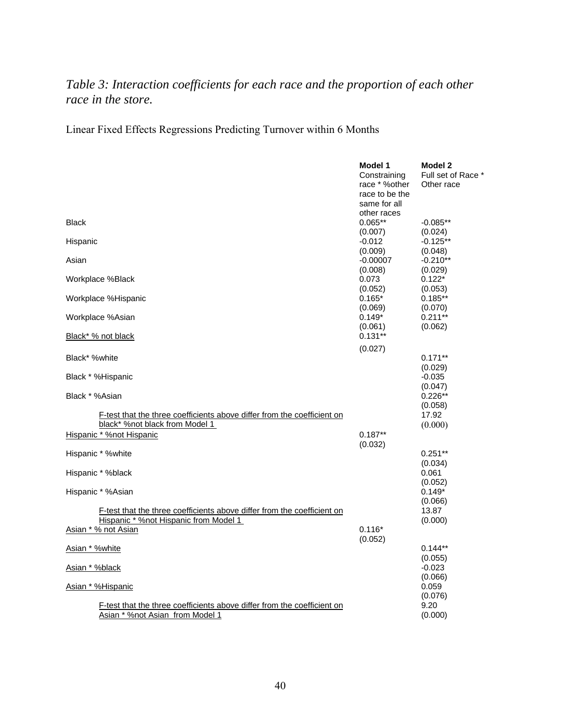## *Table 3: Interaction coefficients for each race and the proportion of each other race in the store.*

Linear Fixed Effects Regressions Predicting Turnover within 6 Months

|                                                                         | Model 1        | Model 2            |
|-------------------------------------------------------------------------|----------------|--------------------|
|                                                                         | Constraining   | Full set of Race * |
|                                                                         | race * %other  | Other race         |
|                                                                         | race to be the |                    |
|                                                                         | same for all   |                    |
|                                                                         | other races    |                    |
| <b>Black</b>                                                            | $0.065**$      |                    |
|                                                                         |                | $-0.085**$         |
|                                                                         | (0.007)        | (0.024)            |
| Hispanic                                                                | $-0.012$       | $-0.125**$         |
|                                                                         | (0.009)        | (0.048)            |
| Asian                                                                   | $-0.00007$     | $-0.210**$         |
|                                                                         | (0.008)        | (0.029)            |
| Workplace %Black                                                        | 0.073          | $0.122*$           |
|                                                                         | (0.052)        | (0.053)            |
| Workplace %Hispanic                                                     | $0.165*$       | $0.185**$          |
|                                                                         | (0.069)        | (0.070)            |
| Workplace %Asian                                                        | $0.149*$       | $0.211**$          |
|                                                                         | (0.061)        | (0.062)            |
| Black* % not black                                                      | $0.131**$      |                    |
|                                                                         |                |                    |
| Black* %white                                                           | (0.027)        |                    |
|                                                                         |                | $0.171**$          |
|                                                                         |                | (0.029)            |
| Black * %Hispanic                                                       |                | $-0.035$           |
|                                                                         |                | (0.047)            |
| Black * %Asian                                                          |                | $0.226**$          |
|                                                                         |                | (0.058)            |
| F-test that the three coefficients above differ from the coefficient on |                | 17.92              |
| black* %not black from Model 1                                          |                | (0.000)            |
| Hispanic * %not Hispanic                                                | $0.187**$      |                    |
|                                                                         | (0.032)        |                    |
| Hispanic * %white                                                       |                | $0.251**$          |
|                                                                         |                | (0.034)            |
| Hispanic * %black                                                       |                | 0.061              |
|                                                                         |                | (0.052)            |
| Hispanic * %Asian                                                       |                | $0.149*$           |
|                                                                         |                |                    |
|                                                                         |                | (0.066)            |
| F-test that the three coefficients above differ from the coefficient on |                | 13.87              |
| Hispanic * %not Hispanic from Model 1                                   |                | (0.000)            |
| Asian * % not Asian                                                     | $0.116*$       |                    |
|                                                                         | (0.052)        |                    |
| Asian * %white                                                          |                | $0.144**$          |
|                                                                         |                | (0.055)            |
| Asian * %black                                                          |                | $-0.023$           |
|                                                                         |                | (0.066)            |
| Asian * %Hispanic                                                       |                | 0.059              |
|                                                                         |                | (0.076)            |
| F-test that the three coefficients above differ from the coefficient on |                | 9.20               |
| Asian * %not Asian from Model 1                                         |                | (0.000)            |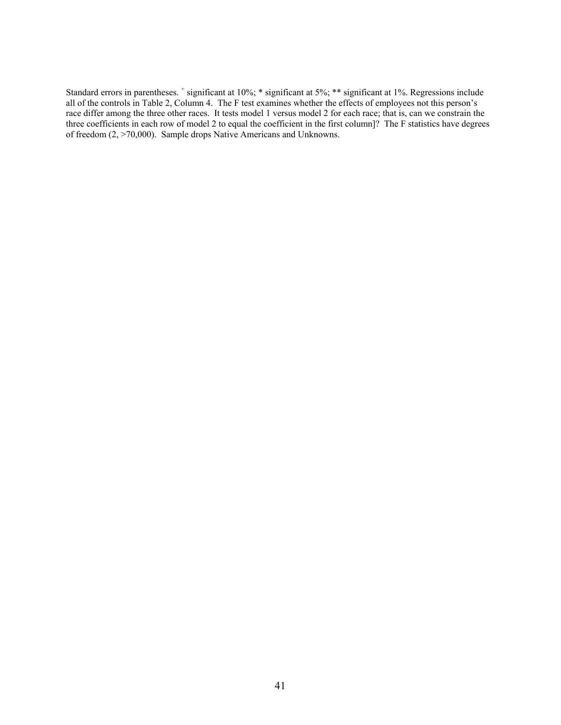Standard errors in parentheses. + significant at 10%; \* significant at 5%; \*\* significant at 1%. Regressions include all of the controls in Table 2, Column 4. The F test examines whether the effects of employees not this person's race differ among the three other races. It tests model 1 versus model 2 for each race; that is, can we constrain the three coefficients in each row of model 2 to equal the coefficient in the first column]? The F statistics have degrees of freedom (2, >70,000). Sample drops Native Americans and Unknowns.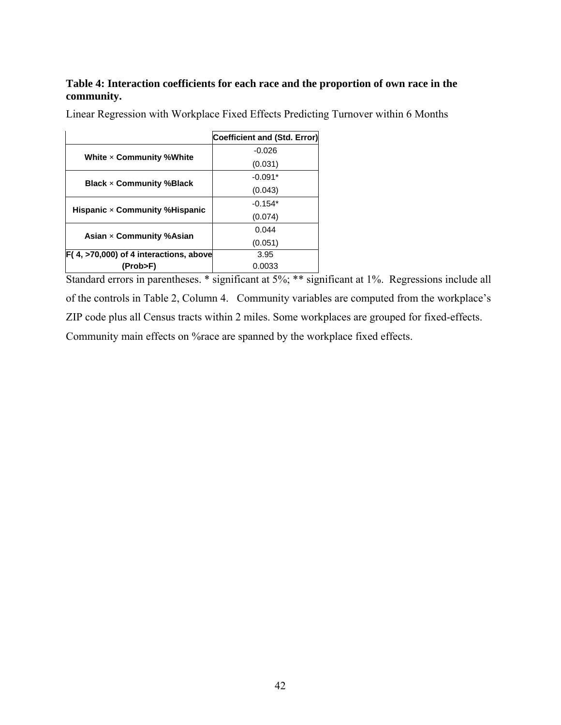### **Table 4: Interaction coefficients for each race and the proportion of own race in the community.**

|                                                   | Coefficient and (Std. Error) |
|---------------------------------------------------|------------------------------|
| White $\times$ Community %White                   | $-0.026$                     |
|                                                   | (0.031)                      |
| <b>Black <math>\times</math> Community %Black</b> | $-0.091*$                    |
|                                                   | (0.043)                      |
| Hispanic $\times$ Community % Hispanic            | $-0.154*$                    |
|                                                   | (0.074)                      |
| Asian $\times$ Community %Asian                   | 0.044                        |
|                                                   | (0.051)                      |
| F(4, >70,000) of 4 interactions, above            | 3.95                         |
| (Prob>F)                                          | 0.0033                       |

Linear Regression with Workplace Fixed Effects Predicting Turnover within 6 Months

Standard errors in parentheses. \* significant at 5%; \*\* significant at 1%. Regressions include all of the controls in Table 2, Column 4. Community variables are computed from the workplace's ZIP code plus all Census tracts within 2 miles. Some workplaces are grouped for fixed-effects. Community main effects on %race are spanned by the workplace fixed effects.